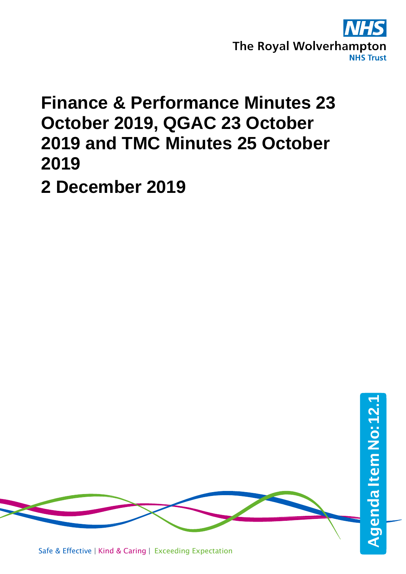

## **Finance & Performance Minutes 23 October 2019, QGAC 23 October 2019 and TMC Minutes 25 October 2019**

**2 December 2019**



Safe & Effective | Kind & Caring | Exceeding Expectation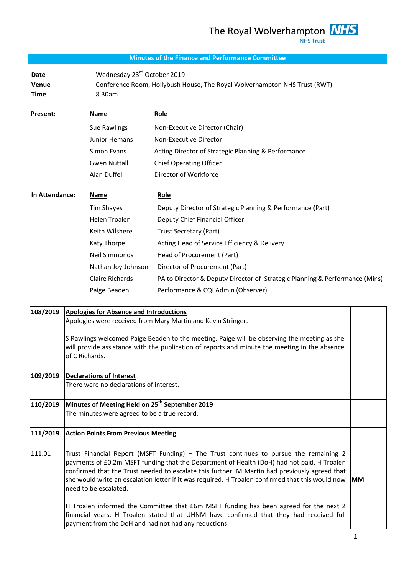#### **Minutes of the Finance and Performance Committee**

**Date** Wednesday 23 rd October 2019 **Venue** Conference Room, Hollybush House, The Royal Wolverhampton NHS Trust (RWT) **Time** 8.30am

| Present:       | Name                | Role                                                                        |
|----------------|---------------------|-----------------------------------------------------------------------------|
|                | Sue Rawlings        | Non-Executive Director (Chair)                                              |
|                | Junior Hemans       | Non-Executive Director                                                      |
|                | Simon Evans         | Acting Director of Strategic Planning & Performance                         |
|                | <b>Gwen Nuttall</b> | <b>Chief Operating Officer</b>                                              |
|                | Alan Duffell        | Director of Workforce                                                       |
| In Attendance: | Name                | <b>Role</b>                                                                 |
|                | Tim Shayes          | Deputy Director of Strategic Planning & Performance (Part)                  |
|                | Helen Troalen       | Deputy Chief Financial Officer                                              |
|                | Keith Wilshere      | Trust Secretary (Part)                                                      |
|                | Katy Thorpe         | Acting Head of Service Efficiency & Delivery                                |
|                | Neil Simmonds       | Head of Procurement (Part)                                                  |
|                | Nathan Joy-Johnson  | Director of Procurement (Part)                                              |
|                | Claire Richards     | PA to Director & Deputy Director of Strategic Planning & Performance (Mins) |
|                | Paige Beaden        | Performance & CQI Admin (Observer)                                          |

| 108/2019 | <b>Apologies for Absence and Introductions</b><br>Apologies were received from Mary Martin and Kevin Stringer.                                                                                                                                                                                                                                                                                                    |           |
|----------|-------------------------------------------------------------------------------------------------------------------------------------------------------------------------------------------------------------------------------------------------------------------------------------------------------------------------------------------------------------------------------------------------------------------|-----------|
|          | S Rawlings welcomed Paige Beaden to the meeting. Paige will be observing the meeting as she<br>will provide assistance with the publication of reports and minute the meeting in the absence<br>of C Richards.                                                                                                                                                                                                    |           |
| 109/2019 | <b>Declarations of Interest</b><br>There were no declarations of interest.                                                                                                                                                                                                                                                                                                                                        |           |
| 110/2019 | Minutes of Meeting Held on 25 <sup>th</sup> September 2019<br>The minutes were agreed to be a true record.                                                                                                                                                                                                                                                                                                        |           |
| 111/2019 | <b>Action Points From Previous Meeting</b>                                                                                                                                                                                                                                                                                                                                                                        |           |
| 111.01   | Trust Financial Report (MSFT Funding) - The Trust continues to pursue the remaining 2<br>payments of £0.2m MSFT funding that the Department of Health (DoH) had not paid. H Troalen<br>confirmed that the Trust needed to escalate this further. M Martin had previously agreed that<br>she would write an escalation letter if it was required. H Troalen confirmed that this would now<br>need to be escalated. | <b>MM</b> |
|          | H Troalen informed the Committee that £6m MSFT funding has been agreed for the next 2<br>financial years. H Troalen stated that UHNM have confirmed that they had received full<br>payment from the DoH and had not had any reductions.                                                                                                                                                                           |           |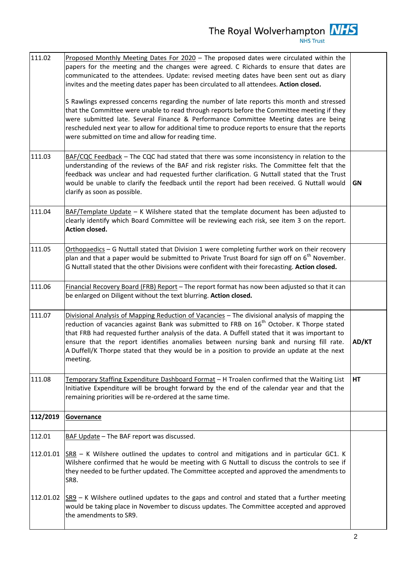| 111.02    | Proposed Monthly Meeting Dates For 2020 - The proposed dates were circulated within the<br>papers for the meeting and the changes were agreed. C Richards to ensure that dates are<br>communicated to the attendees. Update: revised meeting dates have been sent out as diary<br>invites and the meeting dates paper has been circulated to all attendees. Action closed.<br>S Rawlings expressed concerns regarding the number of late reports this month and stressed<br>that the Committee were unable to read through reports before the Committee meeting if they<br>were submitted late. Several Finance & Performance Committee Meeting dates are being<br>rescheduled next year to allow for additional time to produce reports to ensure that the reports<br>were submitted on time and allow for reading time. |       |
|-----------|---------------------------------------------------------------------------------------------------------------------------------------------------------------------------------------------------------------------------------------------------------------------------------------------------------------------------------------------------------------------------------------------------------------------------------------------------------------------------------------------------------------------------------------------------------------------------------------------------------------------------------------------------------------------------------------------------------------------------------------------------------------------------------------------------------------------------|-------|
| 111.03    | BAF/CQC Feedback - The CQC had stated that there was some inconsistency in relation to the<br>understanding of the reviews of the BAF and risk register risks. The Committee felt that the<br>feedback was unclear and had requested further clarification. G Nuttall stated that the Trust<br>would be unable to clarify the feedback until the report had been received. G Nuttall would<br>clarify as soon as possible.                                                                                                                                                                                                                                                                                                                                                                                                | GN    |
| 111.04    | BAF/Template Update - K Wilshere stated that the template document has been adjusted to<br>clearly identify which Board Committee will be reviewing each risk, see item 3 on the report.<br>Action closed.                                                                                                                                                                                                                                                                                                                                                                                                                                                                                                                                                                                                                |       |
| 111.05    | Orthopaedics - G Nuttall stated that Division 1 were completing further work on their recovery<br>plan and that a paper would be submitted to Private Trust Board for sign off on 6 <sup>th</sup> November.<br>G Nuttall stated that the other Divisions were confident with their forecasting. Action closed.                                                                                                                                                                                                                                                                                                                                                                                                                                                                                                            |       |
| 111.06    | Financial Recovery Board (FRB) Report - The report format has now been adjusted so that it can<br>be enlarged on Diligent without the text blurring. Action closed.                                                                                                                                                                                                                                                                                                                                                                                                                                                                                                                                                                                                                                                       |       |
| 111.07    | Divisional Analysis of Mapping Reduction of Vacancies - The divisional analysis of mapping the<br>reduction of vacancies against Bank was submitted to FRB on 16 <sup>th</sup> October. K Thorpe stated<br>that FRB had requested further analysis of the data. A Duffell stated that it was important to<br>ensure that the report identifies anomalies between nursing bank and nursing fill rate.<br>A Duffell/K Thorpe stated that they would be in a position to provide an update at the next<br>meeting.                                                                                                                                                                                                                                                                                                           | AD/KT |
| 111.08    | Temporary Staffing Expenditure Dashboard Format - H Troalen confirmed that the Waiting List<br>Initiative Expenditure will be brought forward by the end of the calendar year and that the<br>remaining priorities will be re-ordered at the same time.                                                                                                                                                                                                                                                                                                                                                                                                                                                                                                                                                                   | HT    |
| 112/2019  | <b>Governance</b>                                                                                                                                                                                                                                                                                                                                                                                                                                                                                                                                                                                                                                                                                                                                                                                                         |       |
| 112.01    | BAF Update - The BAF report was discussed.                                                                                                                                                                                                                                                                                                                                                                                                                                                                                                                                                                                                                                                                                                                                                                                |       |
| 112.01.01 | $SSR8 - K$ Wilshere outlined the updates to control and mitigations and in particular GC1. K<br>Wilshere confirmed that he would be meeting with G Nuttall to discuss the controls to see if<br>they needed to be further updated. The Committee accepted and approved the amendments to<br>SR8.                                                                                                                                                                                                                                                                                                                                                                                                                                                                                                                          |       |
|           | 112.01.02 $ {\text{SR}}\%$ – K Wilshere outlined updates to the gaps and control and stated that a further meeting<br>would be taking place in November to discuss updates. The Committee accepted and approved<br>the amendments to SR9.                                                                                                                                                                                                                                                                                                                                                                                                                                                                                                                                                                                 |       |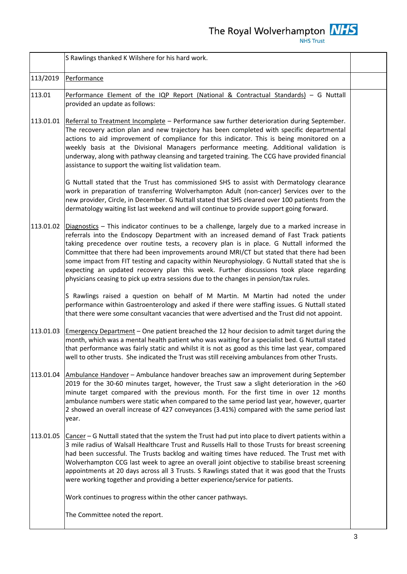The Royal Wolverhampton  $\frac{NHS}{NHS \text{ Trust}}$ 

|           | S Rawlings thanked K Wilshere for his hard work.                                                                                                                                                                                                                                                                                                                                                                                                                                                                                                                                                                                                                         |  |
|-----------|--------------------------------------------------------------------------------------------------------------------------------------------------------------------------------------------------------------------------------------------------------------------------------------------------------------------------------------------------------------------------------------------------------------------------------------------------------------------------------------------------------------------------------------------------------------------------------------------------------------------------------------------------------------------------|--|
| 113/2019  | Performance                                                                                                                                                                                                                                                                                                                                                                                                                                                                                                                                                                                                                                                              |  |
| 113.01    | Performance Element of the IQP Report (National & Contractual Standards) - G Nuttall<br>provided an update as follows:                                                                                                                                                                                                                                                                                                                                                                                                                                                                                                                                                   |  |
| 113.01.01 | Referral to Treatment Incomplete - Performance saw further deterioration during September.<br>The recovery action plan and new trajectory has been completed with specific departmental<br>actions to aid improvement of compliance for this indicator. This is being monitored on a<br>weekly basis at the Divisional Managers performance meeting. Additional validation is<br>underway, along with pathway cleansing and targeted training. The CCG have provided financial<br>assistance to support the waiting list validation team.                                                                                                                                |  |
|           | G Nuttall stated that the Trust has commissioned SHS to assist with Dermatology clearance<br>work in preparation of transferring Wolverhampton Adult (non-cancer) Services over to the<br>new provider, Circle, in December. G Nuttall stated that SHS cleared over 100 patients from the<br>dermatology waiting list last weekend and will continue to provide support going forward.                                                                                                                                                                                                                                                                                   |  |
| 113.01.02 | $Di$ agnostics - This indicator continues to be a challenge, largely due to a marked increase in<br>referrals into the Endoscopy Department with an increased demand of Fast Track patients<br>taking precedence over routine tests, a recovery plan is in place. G Nuttall informed the<br>Committee that there had been improvements around MRI/CT but stated that there had been<br>some impact from FIT testing and capacity within Neurophysiology. G Nuttall stated that she is<br>expecting an updated recovery plan this week. Further discussions took place regarding<br>physicians ceasing to pick up extra sessions due to the changes in pension/tax rules. |  |
|           | S Rawlings raised a question on behalf of M Martin. M Martin had noted the under<br>performance within Gastroenterology and asked if there were staffing issues. G Nuttall stated<br>that there were some consultant vacancies that were advertised and the Trust did not appoint.                                                                                                                                                                                                                                                                                                                                                                                       |  |
| 113.01.03 | Emergency Department - One patient breached the 12 hour decision to admit target during the<br>month, which was a mental health patient who was waiting for a specialist bed. G Nuttall stated<br>that performance was fairly static and whilst it is not as good as this time last year, compared<br>well to other trusts. She indicated the Trust was still receiving ambulances from other Trusts.                                                                                                                                                                                                                                                                    |  |
| 113.01.04 | Ambulance Handover - Ambulance handover breaches saw an improvement during September<br>2019 for the 30-60 minutes target, however, the Trust saw a slight deterioration in the >60<br>minute target compared with the previous month. For the first time in over 12 months<br>ambulance numbers were static when compared to the same period last year, however, quarter<br>2 showed an overall increase of 427 conveyances (3.41%) compared with the same period last<br>year.                                                                                                                                                                                         |  |
| 113.01.05 | Cancer – G Nuttall stated that the system the Trust had put into place to divert patients within a<br>3 mile radius of Walsall Healthcare Trust and Russells Hall to those Trusts for breast screening<br>had been successful. The Trusts backlog and waiting times have reduced. The Trust met with<br>Wolverhampton CCG last week to agree an overall joint objective to stabilise breast screening<br>appointments at 20 days across all 3 Trusts. S Rawlings stated that it was good that the Trusts<br>were working together and providing a better experience/service for patients.                                                                                |  |
|           | Work continues to progress within the other cancer pathways.                                                                                                                                                                                                                                                                                                                                                                                                                                                                                                                                                                                                             |  |
|           | The Committee noted the report.                                                                                                                                                                                                                                                                                                                                                                                                                                                                                                                                                                                                                                          |  |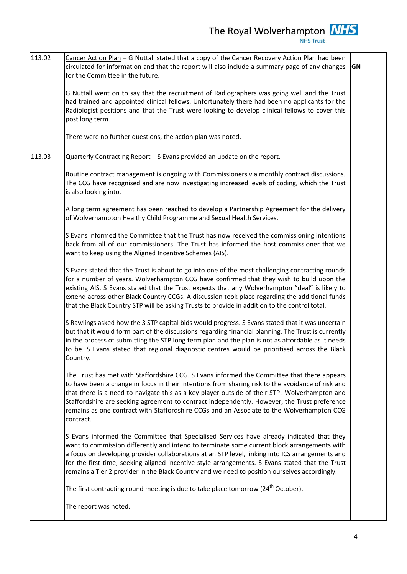113.02 Cancer Action Plan – G Nuttall stated that a copy of the Cancer Recovery Action Plan had been circulated for information and that the report will also include a summary page of any changes for the Committee in the future. G Nuttall went on to say that the recruitment of Radiographers was going well and the Trust had trained and appointed clinical fellows. Unfortunately there had been no applicants for the Radiologist positions and that the Trust were looking to develop clinical fellows to cover this post long term. There were no further questions, the action plan was noted. **GN** 113.03 **Quarterly Contracting Report – S Evans provided an update on the report.** Routine contract management is ongoing with Commissioners via monthly contract discussions. The CCG have recognised and are now investigating increased levels of coding, which the Trust is also looking into. A long term agreement has been reached to develop a Partnership Agreement for the delivery of Wolverhampton Healthy Child Programme and Sexual Health Services. S Evans informed the Committee that the Trust has now received the commissioning intentions back from all of our commissioners. The Trust has informed the host commissioner that we want to keep using the Aligned Incentive Schemes (AIS). S Evans stated that the Trust is about to go into one of the most challenging contracting rounds for a number of years. Wolverhampton CCG have confirmed that they wish to build upon the existing AIS. S Evans stated that the Trust expects that any Wolverhampton "deal" is likely to extend across other Black Country CCGs. A discussion took place regarding the additional funds that the Black Country STP will be asking Trusts to provide in addition to the control total. S Rawlings asked how the 3 STP capital bids would progress. S Evans stated that it was uncertain but that it would form part of the discussions regarding financial planning. The Trust is currently in the process of submitting the STP long term plan and the plan is not as affordable as it needs to be. S Evans stated that regional diagnostic centres would be prioritised across the Black Country. The Trust has met with Staffordshire CCG. S Evans informed the Committee that there appears to have been a change in focus in their intentions from sharing risk to the avoidance of risk and that there is a need to navigate this as a key player outside of their STP. Wolverhampton and Staffordshire are seeking agreement to contract independently. However, the Trust preference remains as one contract with Staffordshire CCGs and an Associate to the Wolverhampton CCG contract. S Evans informed the Committee that Specialised Services have already indicated that they want to commission differently and intend to terminate some current block arrangements with a focus on developing provider collaborations at an STP level, linking into ICS arrangements and for the first time, seeking aligned incentive style arrangements. S Evans stated that the Trust remains a Tier 2 provider in the Black Country and we need to position ourselves accordingly. The first contracting round meeting is due to take place tomorrow (24<sup>th</sup> October). The report was noted.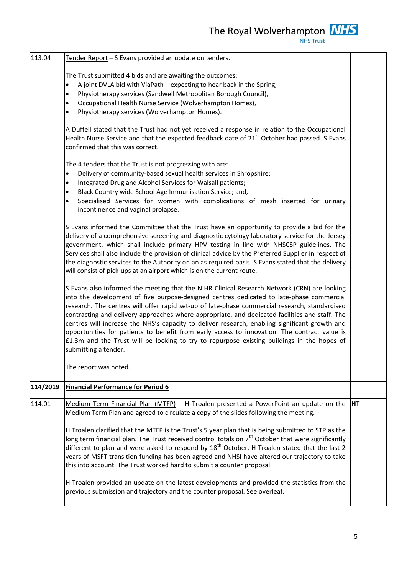113.04 | Tender Report – S Evans provided an update on tenders. The Trust submitted 4 bids and are awaiting the outcomes: A joint DVLA bid with ViaPath – expecting to hear back in the Spring, Physiotherapy services (Sandwell Metropolitan Borough Council), Occupational Health Nurse Service (Wolverhampton Homes), Physiotherapy services (Wolverhampton Homes). A Duffell stated that the Trust had not yet received a response in relation to the Occupational Health Nurse Service and that the expected feedback date of  $21<sup>st</sup>$  October had passed. S Evans confirmed that this was correct. The 4 tenders that the Trust is not progressing with are: Delivery of community-based sexual health services in Shropshire; Integrated Drug and Alcohol Services for Walsall patients; Black Country wide School Age Immunisation Service; and, Specialised Services for women with complications of mesh inserted for urinary incontinence and vaginal prolapse. S Evans informed the Committee that the Trust have an opportunity to provide a bid for the delivery of a comprehensive screening and diagnostic cytology laboratory service for the Jersey government, which shall include primary HPV testing in line with NHSCSP guidelines. The Services shall also include the provision of clinical advice by the Preferred Supplier in respect of the diagnostic services to the Authority on an as required basis. S Evans stated that the delivery will consist of pick-ups at an airport which is on the current route. S Evans also informed the meeting that the NIHR Clinical Research Network (CRN) are looking into the development of five purpose-designed centres dedicated to late-phase commercial research. The centres will offer rapid set-up of late-phase commercial research, standardised contracting and delivery approaches where appropriate, and dedicated facilities and staff. The centres will increase the NHS's capacity to deliver research, enabling significant growth and opportunities for patients to benefit from early access to innovation. The contract value is £1.3m and the Trust will be looking to try to repurpose existing buildings in the hopes of submitting a tender. The report was noted. **114/2019 Financial Performance for Period 6** 114.01 Medium Term Financial Plan (MTFP) – H Troalen presented a PowerPoint an update on the Medium Term Plan and agreed to circulate a copy of the slides following the meeting. H Troalen clarified that the MTFP is the Trust's 5 year plan that is being submitted to STP as the long term financial plan. The Trust received control totals on  $7<sup>th</sup>$  October that were significantly different to plan and were asked to respond by 18<sup>th</sup> October. H Troalen stated that the last 2 years of MSFT transition funding has been agreed and NHSI have altered our trajectory to take this into account. The Trust worked hard to submit a counter proposal. H Troalen provided an update on the latest developments and provided the statistics from the previous submission and trajectory and the counter proposal. See overleaf. **HT**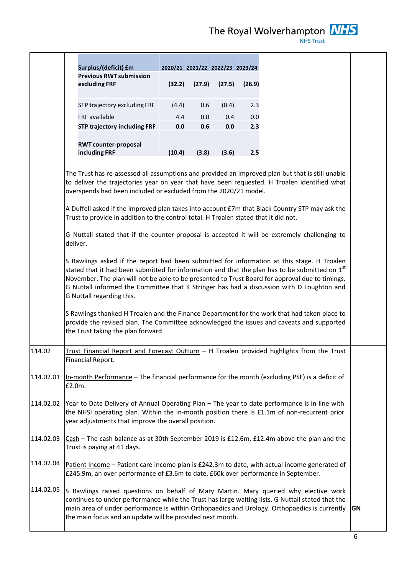|           | Surplus/(deficit) £m                                                                                                                                                                                                                                                                                                                                                                                                                                                                                                                                                                                                                                                                                                                                                                                                                                                                                                                                                                                                                                                                                                                                                                                    |        | 2020/21 2021/22 2022/23 2023/24 |        |        |
|-----------|---------------------------------------------------------------------------------------------------------------------------------------------------------------------------------------------------------------------------------------------------------------------------------------------------------------------------------------------------------------------------------------------------------------------------------------------------------------------------------------------------------------------------------------------------------------------------------------------------------------------------------------------------------------------------------------------------------------------------------------------------------------------------------------------------------------------------------------------------------------------------------------------------------------------------------------------------------------------------------------------------------------------------------------------------------------------------------------------------------------------------------------------------------------------------------------------------------|--------|---------------------------------|--------|--------|
|           | <b>Previous RWT submission</b>                                                                                                                                                                                                                                                                                                                                                                                                                                                                                                                                                                                                                                                                                                                                                                                                                                                                                                                                                                                                                                                                                                                                                                          | (32.2) | (27.9)                          |        |        |
|           | excluding FRF                                                                                                                                                                                                                                                                                                                                                                                                                                                                                                                                                                                                                                                                                                                                                                                                                                                                                                                                                                                                                                                                                                                                                                                           |        |                                 | (27.5) | (26.9) |
|           | STP trajectory excluding FRF                                                                                                                                                                                                                                                                                                                                                                                                                                                                                                                                                                                                                                                                                                                                                                                                                                                                                                                                                                                                                                                                                                                                                                            | (4.4)  | 0.6                             | (0.4)  | 2.3    |
|           | FRF available                                                                                                                                                                                                                                                                                                                                                                                                                                                                                                                                                                                                                                                                                                                                                                                                                                                                                                                                                                                                                                                                                                                                                                                           | 4.4    | 0.0                             | 0.4    | 0.0    |
|           | <b>STP trajectory including FRF</b>                                                                                                                                                                                                                                                                                                                                                                                                                                                                                                                                                                                                                                                                                                                                                                                                                                                                                                                                                                                                                                                                                                                                                                     | 0.0    | 0.6                             | 0.0    | 2.3    |
|           | <b>RWT counter-proposal</b>                                                                                                                                                                                                                                                                                                                                                                                                                                                                                                                                                                                                                                                                                                                                                                                                                                                                                                                                                                                                                                                                                                                                                                             |        |                                 |        |        |
|           | including FRF                                                                                                                                                                                                                                                                                                                                                                                                                                                                                                                                                                                                                                                                                                                                                                                                                                                                                                                                                                                                                                                                                                                                                                                           | (10.4) | (3.8)                           | (3.6)  | 2.5    |
|           | The Trust has re-assessed all assumptions and provided an improved plan but that is still unable<br>to deliver the trajectories year on year that have been requested. H Troalen identified what<br>overspends had been included or excluded from the 2020/21 model.<br>A Duffell asked if the improved plan takes into account £7m that Black Country STP may ask the<br>Trust to provide in addition to the control total. H Troalen stated that it did not.<br>G Nuttall stated that if the counter-proposal is accepted it will be extremely challenging to<br>deliver.<br>S Rawlings asked if the report had been submitted for information at this stage. H Troalen<br>stated that it had been submitted for information and that the plan has to be submitted on $1st$<br>November. The plan will not be able to be presented to Trust Board for approval due to timings.<br>G Nuttall informed the Committee that K Stringer has had a discussion with D Loughton and<br>G Nuttall regarding this.<br>S Rawlings thanked H Troalen and the Finance Department for the work that had taken place to<br>provide the revised plan. The Committee acknowledged the issues and caveats and supported |        |                                 |        |        |
| 114.02    | the Trust taking the plan forward.<br>Trust Financial Report and Forecast Outturn - H Troalen provided highlights from the Trust<br>Financial Report.                                                                                                                                                                                                                                                                                                                                                                                                                                                                                                                                                                                                                                                                                                                                                                                                                                                                                                                                                                                                                                                   |        |                                 |        |        |
| 114.02.01 | In-month Performance - The financial performance for the month (excluding PSF) is a deficit of<br>£2.0m.                                                                                                                                                                                                                                                                                                                                                                                                                                                                                                                                                                                                                                                                                                                                                                                                                                                                                                                                                                                                                                                                                                |        |                                 |        |        |
| 114.02.02 | Year to Date Delivery of Annual Operating Plan - The year to date performance is in line with<br>the NHSI operating plan. Within the in-month position there is £1.1m of non-recurrent prior<br>year adjustments that improve the overall position.                                                                                                                                                                                                                                                                                                                                                                                                                                                                                                                                                                                                                                                                                                                                                                                                                                                                                                                                                     |        |                                 |        |        |
| 114.02.03 | Cash - The cash balance as at 30th September 2019 is £12.6m, £12.4m above the plan and the<br>Trust is paying at 41 days.                                                                                                                                                                                                                                                                                                                                                                                                                                                                                                                                                                                                                                                                                                                                                                                                                                                                                                                                                                                                                                                                               |        |                                 |        |        |
| 114.02.04 | Patient Income - Patient care income plan is £242.3m to date, with actual income generated of<br>£245.9m, an over performance of £3.6m to date, £60k over performance in September.                                                                                                                                                                                                                                                                                                                                                                                                                                                                                                                                                                                                                                                                                                                                                                                                                                                                                                                                                                                                                     |        |                                 |        |        |
| 114.02.05 | S Rawlings raised questions on behalf of Mary Martin. Mary queried why elective work<br>continues to under performance while the Trust has large waiting lists. G Nuttall stated that the<br>main area of under performance is within Orthopaedics and Urology. Orthopaedics is currently<br>the main focus and an update will be provided next month.                                                                                                                                                                                                                                                                                                                                                                                                                                                                                                                                                                                                                                                                                                                                                                                                                                                  |        |                                 |        |        |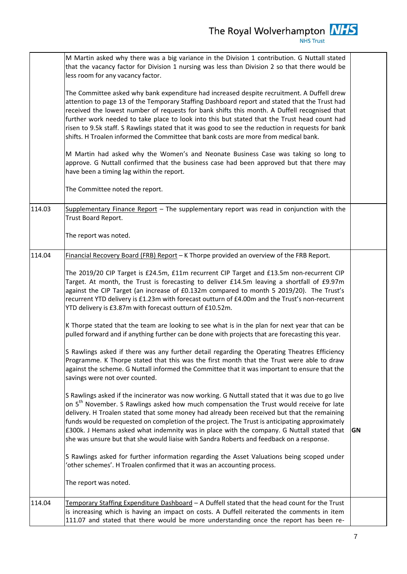|        | M Martin asked why there was a big variance in the Division 1 contribution. G Nuttall stated<br>that the vacancy factor for Division 1 nursing was less than Division 2 so that there would be<br>less room for any vacancy factor.<br>The Committee asked why bank expenditure had increased despite recruitment. A Duffell drew<br>attention to page 13 of the Temporary Staffing Dashboard report and stated that the Trust had<br>received the lowest number of requests for bank shifts this month. A Duffell recognised that<br>further work needed to take place to look into this but stated that the Trust head count had<br>risen to 9.5k staff. S Rawlings stated that it was good to see the reduction in requests for bank<br>shifts. H Troalen informed the Committee that bank costs are more from medical bank.<br>M Martin had asked why the Women's and Neonate Business Case was taking so long to<br>approve. G Nuttall confirmed that the business case had been approved but that there may<br>have been a timing lag within the report.<br>The Committee noted the report.                                                                                                                                                                                                                                                                                                                                                                                                                                                                                                                                                                                                                                                                                                                                                                                          |           |
|--------|--------------------------------------------------------------------------------------------------------------------------------------------------------------------------------------------------------------------------------------------------------------------------------------------------------------------------------------------------------------------------------------------------------------------------------------------------------------------------------------------------------------------------------------------------------------------------------------------------------------------------------------------------------------------------------------------------------------------------------------------------------------------------------------------------------------------------------------------------------------------------------------------------------------------------------------------------------------------------------------------------------------------------------------------------------------------------------------------------------------------------------------------------------------------------------------------------------------------------------------------------------------------------------------------------------------------------------------------------------------------------------------------------------------------------------------------------------------------------------------------------------------------------------------------------------------------------------------------------------------------------------------------------------------------------------------------------------------------------------------------------------------------------------------------------------------------------------------------------------------------------------------------|-----------|
| 114.03 | Supplementary Finance Report - The supplementary report was read in conjunction with the<br>Trust Board Report.<br>The report was noted.                                                                                                                                                                                                                                                                                                                                                                                                                                                                                                                                                                                                                                                                                                                                                                                                                                                                                                                                                                                                                                                                                                                                                                                                                                                                                                                                                                                                                                                                                                                                                                                                                                                                                                                                                   |           |
| 114.04 | Financial Recovery Board (FRB) Report - K Thorpe provided an overview of the FRB Report.<br>The 2019/20 CIP Target is £24.5m, £11m recurrent CIP Target and £13.5m non-recurrent CIP<br>Target. At month, the Trust is forecasting to deliver £14.5m leaving a shortfall of £9.97m<br>against the CIP Target (an increase of £0.132m compared to month 5 2019/20). The Trust's<br>recurrent YTD delivery is £1.23m with forecast outturn of £4.00m and the Trust's non-recurrent<br>YTD delivery is £3.87m with forecast outturn of £10.52m.<br>K Thorpe stated that the team are looking to see what is in the plan for next year that can be<br>pulled forward and if anything further can be done with projects that are forecasting this year.<br>S Rawlings asked if there was any further detail regarding the Operating Theatres Efficiency<br>Programme. K Thorpe stated that this was the first month that the Trust were able to draw<br>against the scheme. G Nuttall informed the Committee that it was important to ensure that the<br>savings were not over counted.<br>S Rawlings asked if the incinerator was now working. G Nuttall stated that it was due to go live<br>on 5 <sup>th</sup> November. S Rawlings asked how much compensation the Trust would receive for late<br>delivery. H Troalen stated that some money had already been received but that the remaining<br>funds would be requested on completion of the project. The Trust is anticipating approximately<br>£300k. J Hemans asked what indemnity was in place with the company. G Nuttall stated that<br>she was unsure but that she would liaise with Sandra Roberts and feedback on a response.<br>S Rawlings asked for further information regarding the Asset Valuations being scoped under<br>'other schemes'. H Troalen confirmed that it was an accounting process.<br>The report was noted. | <b>GN</b> |
| 114.04 | Temporary Staffing Expenditure Dashboard - A Duffell stated that the head count for the Trust<br>is increasing which is having an impact on costs. A Duffell reiterated the comments in item<br>111.07 and stated that there would be more understanding once the report has been re-                                                                                                                                                                                                                                                                                                                                                                                                                                                                                                                                                                                                                                                                                                                                                                                                                                                                                                                                                                                                                                                                                                                                                                                                                                                                                                                                                                                                                                                                                                                                                                                                      |           |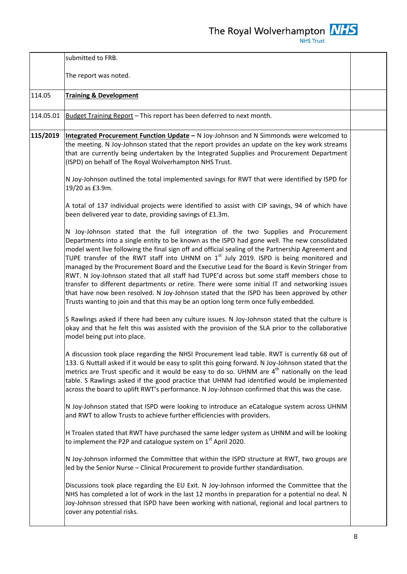|           | submitted to FRB.                                                                                                                                                                                                                                                                                                                                                                                                                                                                                                                                                                                                                                                                                                                                                                                                                                                         |  |
|-----------|---------------------------------------------------------------------------------------------------------------------------------------------------------------------------------------------------------------------------------------------------------------------------------------------------------------------------------------------------------------------------------------------------------------------------------------------------------------------------------------------------------------------------------------------------------------------------------------------------------------------------------------------------------------------------------------------------------------------------------------------------------------------------------------------------------------------------------------------------------------------------|--|
|           | The report was noted.                                                                                                                                                                                                                                                                                                                                                                                                                                                                                                                                                                                                                                                                                                                                                                                                                                                     |  |
| 114.05    | <b>Training &amp; Development</b>                                                                                                                                                                                                                                                                                                                                                                                                                                                                                                                                                                                                                                                                                                                                                                                                                                         |  |
| 114.05.01 | Budget Training Report - This report has been deferred to next month.                                                                                                                                                                                                                                                                                                                                                                                                                                                                                                                                                                                                                                                                                                                                                                                                     |  |
| 115/2019  | Integrated Procurement Function Update - N Joy-Johnson and N Simmonds were welcomed to<br>the meeting. N Joy-Johnson stated that the report provides an update on the key work streams<br>that are currently being undertaken by the Integrated Supplies and Procurement Department<br>(ISPD) on behalf of The Royal Wolverhampton NHS Trust.                                                                                                                                                                                                                                                                                                                                                                                                                                                                                                                             |  |
|           | N Joy-Johnson outlined the total implemented savings for RWT that were identified by ISPD for<br>19/20 as £3.9m.                                                                                                                                                                                                                                                                                                                                                                                                                                                                                                                                                                                                                                                                                                                                                          |  |
|           | A total of 137 individual projects were identified to assist with CIP savings, 94 of which have<br>been delivered year to date, providing savings of £1.3m.                                                                                                                                                                                                                                                                                                                                                                                                                                                                                                                                                                                                                                                                                                               |  |
|           | N Joy-Johnson stated that the full integration of the two Supplies and Procurement<br>Departments into a single entity to be known as the ISPD had gone well. The new consolidated<br>model went live following the final sign off and official sealing of the Partnership Agreement and<br>TUPE transfer of the RWT staff into UHNM on $1st$ July 2019. ISPD is being monitored and<br>managed by the Procurement Board and the Executive Lead for the Board is Kevin Stringer from<br>RWT. N Joy-Johnson stated that all staff had TUPE'd across but some staff members chose to<br>transfer to different departments or retire. There were some initial IT and networking issues<br>that have now been resolved. N Joy-Johnson stated that the ISPD has been approved by other<br>Trusts wanting to join and that this may be an option long term once fully embedded. |  |
|           | S Rawlings asked if there had been any culture issues. N Joy-Johnson stated that the culture is<br>okay and that he felt this was assisted with the provision of the SLA prior to the collaborative<br>model being put into place.                                                                                                                                                                                                                                                                                                                                                                                                                                                                                                                                                                                                                                        |  |
|           | A discussion took place regarding the NHSI Procurement lead table. RWT is currently 68 out of<br>133. G Nuttall asked if it would be easy to split this going forward. N Joy-Johnson stated that the<br>metrics are Trust specific and it would be easy to do so. UHNM are 4 <sup>th</sup> nationally on the lead<br>table. S Rawlings asked if the good practice that UHNM had identified would be implemented<br>across the board to uplift RWT's performance. N Joy-Johnson confirmed that this was the case.                                                                                                                                                                                                                                                                                                                                                          |  |
|           | N Joy-Johnson stated that ISPD were looking to introduce an eCatalogue system across UHNM<br>and RWT to allow Trusts to achieve further efficiencies with providers.                                                                                                                                                                                                                                                                                                                                                                                                                                                                                                                                                                                                                                                                                                      |  |
|           | H Troalen stated that RWT have purchased the same ledger system as UHNM and will be looking<br>to implement the P2P and catalogue system on $1st$ April 2020.                                                                                                                                                                                                                                                                                                                                                                                                                                                                                                                                                                                                                                                                                                             |  |
|           | N Joy-Johnson informed the Committee that within the ISPD structure at RWT, two groups are<br>led by the Senior Nurse - Clinical Procurement to provide further standardisation.                                                                                                                                                                                                                                                                                                                                                                                                                                                                                                                                                                                                                                                                                          |  |
|           | Discussions took place regarding the EU Exit. N Joy-Johnson informed the Committee that the<br>NHS has completed a lot of work in the last 12 months in preparation for a potential no deal. N<br>Joy-Johnson stressed that ISPD have been working with national, regional and local partners to<br>cover any potential risks.                                                                                                                                                                                                                                                                                                                                                                                                                                                                                                                                            |  |
|           |                                                                                                                                                                                                                                                                                                                                                                                                                                                                                                                                                                                                                                                                                                                                                                                                                                                                           |  |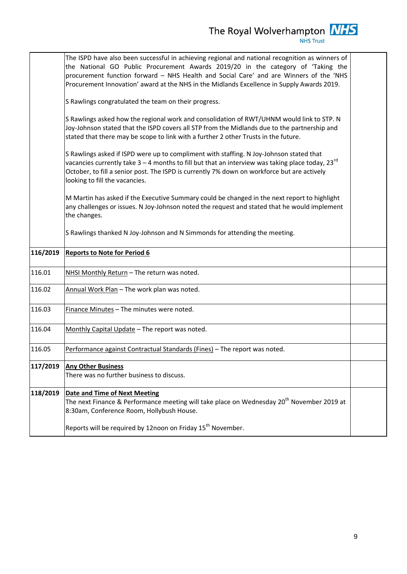The Royal Wolverhampton  $\frac{NHS}{NHS \text{ Trust}}$ 

|          | The ISPD have also been successful in achieving regional and national recognition as winners of<br>the National GO Public Procurement Awards 2019/20 in the category of 'Taking the<br>procurement function forward - NHS Health and Social Care' and are Winners of the 'NHS<br>Procurement Innovation' award at the NHS in the Midlands Excellence in Supply Awards 2019. |  |
|----------|-----------------------------------------------------------------------------------------------------------------------------------------------------------------------------------------------------------------------------------------------------------------------------------------------------------------------------------------------------------------------------|--|
|          | S Rawlings congratulated the team on their progress.                                                                                                                                                                                                                                                                                                                        |  |
|          | S Rawlings asked how the regional work and consolidation of RWT/UHNM would link to STP. N<br>Joy-Johnson stated that the ISPD covers all STP from the Midlands due to the partnership and<br>stated that there may be scope to link with a further 2 other Trusts in the future.                                                                                            |  |
|          | S Rawlings asked if ISPD were up to compliment with staffing. N Joy-Johnson stated that<br>vacancies currently take $3-4$ months to fill but that an interview was taking place today, 23 <sup>rd</sup><br>October, to fill a senior post. The ISPD is currently 7% down on workforce but are actively<br>looking to fill the vacancies.                                    |  |
|          | M Martin has asked if the Executive Summary could be changed in the next report to highlight<br>any challenges or issues. N Joy-Johnson noted the request and stated that he would implement<br>the changes.                                                                                                                                                                |  |
|          | S Rawlings thanked N Joy-Johnson and N Simmonds for attending the meeting.                                                                                                                                                                                                                                                                                                  |  |
| 116/2019 | <b>Reports to Note for Period 6</b>                                                                                                                                                                                                                                                                                                                                         |  |
|          |                                                                                                                                                                                                                                                                                                                                                                             |  |
| 116.01   | NHSI Monthly Return - The return was noted.                                                                                                                                                                                                                                                                                                                                 |  |
| 116.02   | Annual Work Plan - The work plan was noted.                                                                                                                                                                                                                                                                                                                                 |  |
| 116.03   | Finance Minutes - The minutes were noted.                                                                                                                                                                                                                                                                                                                                   |  |
| 116.04   | Monthly Capital Update - The report was noted.                                                                                                                                                                                                                                                                                                                              |  |
| 116.05   | Performance against Contractual Standards (Fines) - The report was noted.                                                                                                                                                                                                                                                                                                   |  |
| 117/2019 | <b>Any Other Business</b><br>There was no further business to discuss.                                                                                                                                                                                                                                                                                                      |  |
| 118/2019 | <b>Date and Time of Next Meeting</b><br>The next Finance & Performance meeting will take place on Wednesday 20 <sup>th</sup> November 2019 at<br>8:30am, Conference Room, Hollybush House.                                                                                                                                                                                  |  |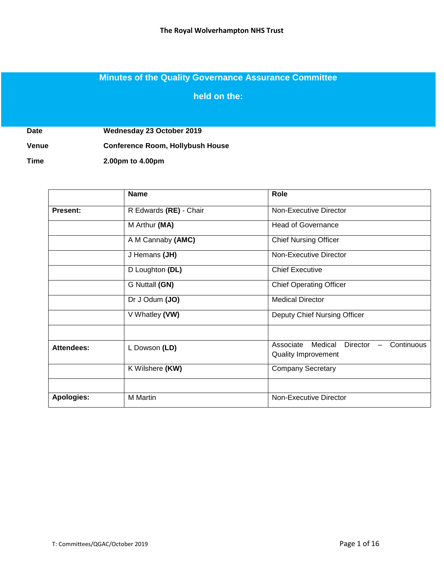### **Minutes of the Quality Governance Assurance Committee**

**held on the:**

**Date Wednesday 23 October 2019**

**Venue Conference Room, Hollybush House** 

**Time 2.00pm to 4.00pm**

|                   | <b>Name</b>            | Role                                                                  |
|-------------------|------------------------|-----------------------------------------------------------------------|
| <b>Present:</b>   | R Edwards (RE) - Chair | Non-Executive Director                                                |
|                   | M Arthur (MA)          | <b>Head of Governance</b>                                             |
|                   | A M Cannaby (AMC)      | <b>Chief Nursing Officer</b>                                          |
|                   | J Hemans (JH)          | Non-Executive Director                                                |
|                   | D Loughton (DL)        | <b>Chief Executive</b>                                                |
|                   | G Nuttall (GN)         | <b>Chief Operating Officer</b>                                        |
|                   | Dr J Odum (JO)         | <b>Medical Director</b>                                               |
|                   | V Whatley (VW)         | Deputy Chief Nursing Officer                                          |
| Attendees:        | L Dowson (LD)          | Continuous<br>Associate<br>Medical<br>Director<br>Quality Improvement |
|                   | K Wilshere (KW)        | <b>Company Secretary</b>                                              |
|                   |                        |                                                                       |
| <b>Apologies:</b> | M Martin               | Non-Executive Director                                                |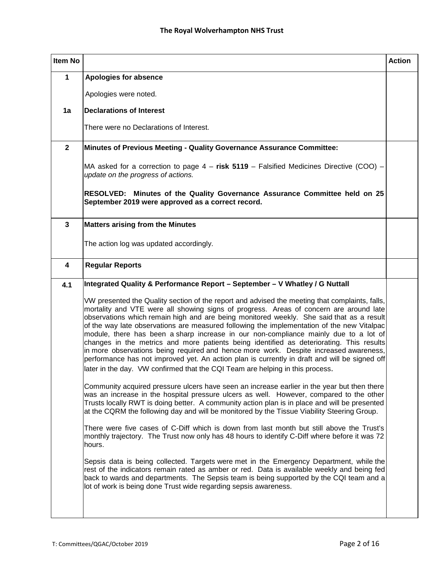| Item No                 |                                                                                                                                                                                                                                                                                                                                                                                                                                                                                                                                                                                                                                                                                                                                                                                                                                                   | <b>Action</b> |
|-------------------------|---------------------------------------------------------------------------------------------------------------------------------------------------------------------------------------------------------------------------------------------------------------------------------------------------------------------------------------------------------------------------------------------------------------------------------------------------------------------------------------------------------------------------------------------------------------------------------------------------------------------------------------------------------------------------------------------------------------------------------------------------------------------------------------------------------------------------------------------------|---------------|
| 1                       | Apologies for absence                                                                                                                                                                                                                                                                                                                                                                                                                                                                                                                                                                                                                                                                                                                                                                                                                             |               |
|                         | Apologies were noted.                                                                                                                                                                                                                                                                                                                                                                                                                                                                                                                                                                                                                                                                                                                                                                                                                             |               |
| 1a                      | <b>Declarations of Interest</b>                                                                                                                                                                                                                                                                                                                                                                                                                                                                                                                                                                                                                                                                                                                                                                                                                   |               |
|                         | There were no Declarations of Interest.                                                                                                                                                                                                                                                                                                                                                                                                                                                                                                                                                                                                                                                                                                                                                                                                           |               |
| $\overline{2}$          | Minutes of Previous Meeting - Quality Governance Assurance Committee:                                                                                                                                                                                                                                                                                                                                                                                                                                                                                                                                                                                                                                                                                                                                                                             |               |
|                         | MA asked for a correction to page $4 -$ risk 5119 - Falsified Medicines Directive (COO) -<br>update on the progress of actions.                                                                                                                                                                                                                                                                                                                                                                                                                                                                                                                                                                                                                                                                                                                   |               |
|                         | RESOLVED: Minutes of the Quality Governance Assurance Committee held on 25<br>September 2019 were approved as a correct record.                                                                                                                                                                                                                                                                                                                                                                                                                                                                                                                                                                                                                                                                                                                   |               |
| $\overline{\mathbf{3}}$ | <b>Matters arising from the Minutes</b>                                                                                                                                                                                                                                                                                                                                                                                                                                                                                                                                                                                                                                                                                                                                                                                                           |               |
|                         | The action log was updated accordingly.                                                                                                                                                                                                                                                                                                                                                                                                                                                                                                                                                                                                                                                                                                                                                                                                           |               |
| 4                       | <b>Regular Reports</b>                                                                                                                                                                                                                                                                                                                                                                                                                                                                                                                                                                                                                                                                                                                                                                                                                            |               |
| 4.1                     | Integrated Quality & Performance Report - September - V Whatley / G Nuttall                                                                                                                                                                                                                                                                                                                                                                                                                                                                                                                                                                                                                                                                                                                                                                       |               |
|                         | VW presented the Quality section of the report and advised the meeting that complaints, falls,<br>mortality and VTE were all showing signs of progress. Areas of concern are around late<br>observations which remain high and are being monitored weekly. She said that as a result<br>of the way late observations are measured following the implementation of the new Vitalpac<br>module, there has been a sharp increase in our non-compliance mainly due to a lot of<br>changes in the metrics and more patients being identified as deteriorating. This results<br>in more observations being required and hence more work. Despite increased awareness,<br>performance has not improved yet. An action plan is currently in draft and will be signed off<br>later in the day. VW confirmed that the CQI Team are helping in this process. |               |
|                         | Community acquired pressure ulcers have seen an increase earlier in the year but then there<br>was an increase in the hospital pressure ulcers as well. However, compared to the other<br>Trusts locally RWT is doing better. A community action plan is in place and will be presented<br>at the CQRM the following day and will be monitored by the Tissue Viability Steering Group.                                                                                                                                                                                                                                                                                                                                                                                                                                                            |               |
|                         | There were five cases of C-Diff which is down from last month but still above the Trust's<br>monthly trajectory. The Trust now only has 48 hours to identify C-Diff where before it was 72<br>hours.                                                                                                                                                                                                                                                                                                                                                                                                                                                                                                                                                                                                                                              |               |
|                         | Sepsis data is being collected. Targets were met in the Emergency Department, while the<br>rest of the indicators remain rated as amber or red. Data is available weekly and being fed<br>back to wards and departments. The Sepsis team is being supported by the CQI team and a<br>lot of work is being done Trust wide regarding sepsis awareness.                                                                                                                                                                                                                                                                                                                                                                                                                                                                                             |               |
|                         |                                                                                                                                                                                                                                                                                                                                                                                                                                                                                                                                                                                                                                                                                                                                                                                                                                                   |               |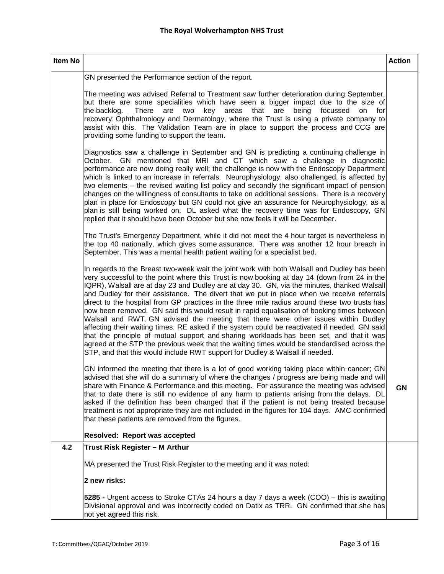| Item No |                                                                                                                                                                                                                                                                                                                                                                                                                                                                                                                                                                                                                                                                                                                                                                                                                                                                                                                                                                                                                                                          | <b>Action</b> |
|---------|----------------------------------------------------------------------------------------------------------------------------------------------------------------------------------------------------------------------------------------------------------------------------------------------------------------------------------------------------------------------------------------------------------------------------------------------------------------------------------------------------------------------------------------------------------------------------------------------------------------------------------------------------------------------------------------------------------------------------------------------------------------------------------------------------------------------------------------------------------------------------------------------------------------------------------------------------------------------------------------------------------------------------------------------------------|---------------|
|         | GN presented the Performance section of the report.                                                                                                                                                                                                                                                                                                                                                                                                                                                                                                                                                                                                                                                                                                                                                                                                                                                                                                                                                                                                      |               |
|         | The meeting was advised Referral to Treatment saw further deterioration during September,<br>but there are some specialities which have seen a bigger impact due to the size of<br>key areas that<br>the backlog.<br>There<br>are two<br>being<br>focussed<br>are<br>on<br>for<br>recovery: Ophthalmology and Dermatology, where the Trust is using a private company to<br>assist with this. The Validation Team are in place to support the process and CCG are<br>providing some funding to support the team.                                                                                                                                                                                                                                                                                                                                                                                                                                                                                                                                         |               |
|         | Diagnostics saw a challenge in September and GN is predicting a continuing challenge in<br>October. GN mentioned that MRI and CT which saw a challenge in diagnostic<br>performance are now doing really well; the challenge is now with the Endoscopy Department<br>which is linked to an increase in referrals. Neurophysiology, also challenged, is affected by<br>two elements – the revised waiting list policy and secondly the significant impact of pension<br>changes on the willingness of consultants to take on additional sessions. There is a recovery<br>plan in place for Endoscopy but GN could not give an assurance for Neurophysiology, as a<br>plan is still being worked on. DL asked what the recovery time was for Endoscopy, GN<br>replied that it should have been October but she now feels it will be December.                                                                                                                                                                                                              |               |
|         | The Trust's Emergency Department, while it did not meet the 4 hour target is nevertheless in<br>the top 40 nationally, which gives some assurance. There was another 12 hour breach in<br>September. This was a mental health patient waiting for a specialist bed.                                                                                                                                                                                                                                                                                                                                                                                                                                                                                                                                                                                                                                                                                                                                                                                      |               |
|         | In regards to the Breast two-week wait the joint work with both Walsall and Dudley has been<br>very successful to the point where this Trust is now booking at day 14 (down from 24 in the<br>IQPR), Walsall are at day 23 and Dudley are at day 30. GN, via the minutes, thanked Walsall<br>and Dudley for their assistance. The divert that we put in place when we receive referrals<br>direct to the hospital from GP practices in the three mile radius around these two trusts has<br>now been removed. GN said this would result in rapid equalisation of booking times between<br>Walsall and RWT. GN advised the meeting that there were other issues within Dudley<br>affecting their waiting times. RE asked if the system could be reactivated if needed. GN said<br>that the principle of mutual support and sharing workloads has been set, and that it was<br>agreed at the STP the previous week that the waiting times would be standardised across the<br>STP, and that this would include RWT support for Dudley & Walsall if needed. |               |
|         | GN informed the meeting that there is a lot of good working taking place within cancer; GN<br>advised that she will do a summary of where the changes / progress are being made and will<br>share with Finance & Performance and this meeting. For assurance the meeting was advised<br>that to date there is still no evidence of any harm to patients arising from the delays. DL<br>asked if the definition has been changed that if the patient is not being treated because<br>treatment is not appropriate they are not included in the figures for 104 days. AMC confirmed<br>that these patients are removed from the figures.                                                                                                                                                                                                                                                                                                                                                                                                                   | <b>GN</b>     |
|         | Resolved: Report was accepted                                                                                                                                                                                                                                                                                                                                                                                                                                                                                                                                                                                                                                                                                                                                                                                                                                                                                                                                                                                                                            |               |
| 4.2     | Trust Risk Register - M Arthur                                                                                                                                                                                                                                                                                                                                                                                                                                                                                                                                                                                                                                                                                                                                                                                                                                                                                                                                                                                                                           |               |
|         | MA presented the Trust Risk Register to the meeting and it was noted:                                                                                                                                                                                                                                                                                                                                                                                                                                                                                                                                                                                                                                                                                                                                                                                                                                                                                                                                                                                    |               |
|         | 2 new risks:                                                                                                                                                                                                                                                                                                                                                                                                                                                                                                                                                                                                                                                                                                                                                                                                                                                                                                                                                                                                                                             |               |
|         | 5285 - Urgent access to Stroke CTAs 24 hours a day 7 days a week (COO) – this is awaiting<br>Divisional approval and was incorrectly coded on Datix as TRR. GN confirmed that she has<br>not yet agreed this risk.                                                                                                                                                                                                                                                                                                                                                                                                                                                                                                                                                                                                                                                                                                                                                                                                                                       |               |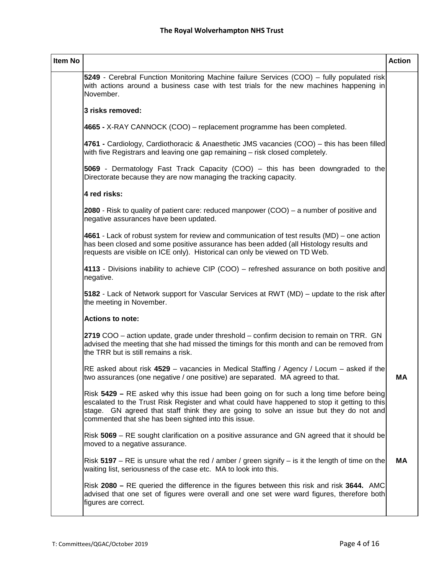| <b>Item No</b> |                                                                                                                                                                                                                                                                                                                                           | <b>Action</b> |
|----------------|-------------------------------------------------------------------------------------------------------------------------------------------------------------------------------------------------------------------------------------------------------------------------------------------------------------------------------------------|---------------|
|                | 5249 - Cerebral Function Monitoring Machine failure Services (COO) – fully populated risk<br>with actions around a business case with test trials for the new machines happening in<br>November.                                                                                                                                          |               |
|                | 3 risks removed:                                                                                                                                                                                                                                                                                                                          |               |
|                | 4665 - X-RAY CANNOCK (COO) – replacement programme has been completed.                                                                                                                                                                                                                                                                    |               |
|                | 4761 - Cardiology, Cardiothoracic & Anaesthetic JMS vacancies (COO) – this has been filled<br>with five Registrars and leaving one gap remaining – risk closed completely.                                                                                                                                                                |               |
|                | 5069 - Dermatology Fast Track Capacity (COO) – this has been downgraded to the<br>Directorate because they are now managing the tracking capacity.                                                                                                                                                                                        |               |
|                | 4 red risks:                                                                                                                                                                                                                                                                                                                              |               |
|                | 2080 - Risk to quality of patient care: reduced manpower (COO) – a number of positive and<br>negative assurances have been updated.                                                                                                                                                                                                       |               |
|                | 4661 - Lack of robust system for review and communication of test results (MD) – one action<br>has been closed and some positive assurance has been added (all Histology results and<br>requests are visible on ICE only). Historical can only be viewed on TD Web.                                                                       |               |
|                | 4113 - Divisions inability to achieve CIP (COO) – refreshed assurance on both positive and<br>negative.                                                                                                                                                                                                                                   |               |
|                | 5182 - Lack of Network support for Vascular Services at RWT (MD) – update to the risk after<br>the meeting in November.                                                                                                                                                                                                                   |               |
|                | <b>Actions to note:</b>                                                                                                                                                                                                                                                                                                                   |               |
|                | 2719 COO – action update, grade under threshold – confirm decision to remain on TRR. GN<br>advised the meeting that she had missed the timings for this month and can be removed from<br>the TRR but is still remains a risk.                                                                                                             |               |
|                | RE asked about risk 4529 – vacancies in Medical Staffing / Agency / Locum – asked if the<br>two assurances (one negative / one positive) are separated. MA agreed to that.                                                                                                                                                                | <b>MA</b>     |
|                | Risk 5429 - RE asked why this issue had been going on for such a long time before being<br>escalated to the Trust Risk Register and what could have happened to stop it getting to this<br>stage. GN agreed that staff think they are going to solve an issue but they do not and<br>commented that she has been sighted into this issue. |               |
|                | Risk 5069 – RE sought clarification on a positive assurance and GN agreed that it should be<br>moved to a negative assurance.                                                                                                                                                                                                             |               |
|                | Risk 5197 – RE is unsure what the red / amber / green signify – is it the length of time on the<br>waiting list, seriousness of the case etc. MA to look into this.                                                                                                                                                                       | МA            |
|                | Risk 2080 – RE queried the difference in the figures between this risk and risk 3644. AMC<br>advised that one set of figures were overall and one set were ward figures, therefore both<br>figures are correct.                                                                                                                           |               |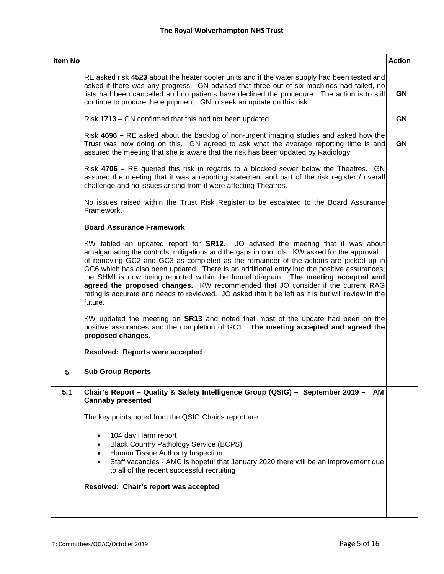| <b>Item No</b> |                                                                                                                                                                                                                                                                                                                                                                                                                                                                                                                                                                                                                                                                         | <b>Action</b> |  |  |  |  |  |
|----------------|-------------------------------------------------------------------------------------------------------------------------------------------------------------------------------------------------------------------------------------------------------------------------------------------------------------------------------------------------------------------------------------------------------------------------------------------------------------------------------------------------------------------------------------------------------------------------------------------------------------------------------------------------------------------------|---------------|--|--|--|--|--|
|                | RE asked risk 4523 about the heater cooler units and if the water supply had been tested and<br>asked if there was any progress. GN advised that three out of six machines had failed, no<br>lists had been cancelled and no patients have declined the procedure. The action is to still<br>continue to procure the equipment. GN to seek an update on this risk.                                                                                                                                                                                                                                                                                                      | <b>GN</b>     |  |  |  |  |  |
|                | Risk 1713 - GN confirmed that this had not been updated.                                                                                                                                                                                                                                                                                                                                                                                                                                                                                                                                                                                                                |               |  |  |  |  |  |
|                | Risk 4696 – RE asked about the backlog of non-urgent imaging studies and asked how the<br>Trust was now doing on this. GN agreed to ask what the average reporting time is and<br>assured the meeting that she is aware that the risk has been updated by Radiology.                                                                                                                                                                                                                                                                                                                                                                                                    |               |  |  |  |  |  |
|                | Risk 4706 – RE queried this risk in regards to a blocked sewer below the Theatres. GN<br>assured the meeting that it was a reporting statement and part of the risk register / overall<br>challenge and no issues arising from it were affecting Theatres.                                                                                                                                                                                                                                                                                                                                                                                                              |               |  |  |  |  |  |
|                | No issues raised within the Trust Risk Register to be escalated to the Board Assurance<br>Framework.                                                                                                                                                                                                                                                                                                                                                                                                                                                                                                                                                                    |               |  |  |  |  |  |
|                | <b>Board Assurance Framework</b>                                                                                                                                                                                                                                                                                                                                                                                                                                                                                                                                                                                                                                        |               |  |  |  |  |  |
|                | KW tabled an updated report for <b>SR12</b> . JO advised the meeting that it was about<br>amalgamating the controls, mitigations and the gaps in controls. KW asked for the approval<br>of removing GC2 and GC3 as completed as the remainder of the actions are picked up in<br>GC6 which has also been updated. There is an additional entry into the positive assurances;<br>the SHMI is now being reported within the funnel diagram. The meeting accepted and<br>agreed the proposed changes. KW recommended that JO consider if the current RAG<br>rating is accurate and needs to reviewed. JO asked that it be left as it is but will review in the<br>lfuture. |               |  |  |  |  |  |
|                | KW updated the meeting on <b>SR13</b> and noted that most of the update had been on the<br>positive assurances and the completion of GC1. The meeting accepted and agreed the<br>proposed changes.                                                                                                                                                                                                                                                                                                                                                                                                                                                                      |               |  |  |  |  |  |
|                | Resolved: Reports were accepted                                                                                                                                                                                                                                                                                                                                                                                                                                                                                                                                                                                                                                         |               |  |  |  |  |  |
| 5              | <b>Sub Group Reports</b>                                                                                                                                                                                                                                                                                                                                                                                                                                                                                                                                                                                                                                                |               |  |  |  |  |  |
| 5.1            | Chair's Report - Quality & Safety Intelligence Group (QSIG) - September 2019 - AM<br><b>Cannaby presented</b>                                                                                                                                                                                                                                                                                                                                                                                                                                                                                                                                                           |               |  |  |  |  |  |
|                | The key points noted from the QSIG Chair's report are:                                                                                                                                                                                                                                                                                                                                                                                                                                                                                                                                                                                                                  |               |  |  |  |  |  |
|                | 104 day Harm report<br><b>Black Country Pathology Service (BCPS)</b><br>Human Tissue Authority Inspection<br>Staff vacancies - AMC is hopeful that January 2020 there will be an improvement due<br>to all of the recent successful recruiting                                                                                                                                                                                                                                                                                                                                                                                                                          |               |  |  |  |  |  |
|                | Resolved: Chair's report was accepted                                                                                                                                                                                                                                                                                                                                                                                                                                                                                                                                                                                                                                   |               |  |  |  |  |  |
|                |                                                                                                                                                                                                                                                                                                                                                                                                                                                                                                                                                                                                                                                                         |               |  |  |  |  |  |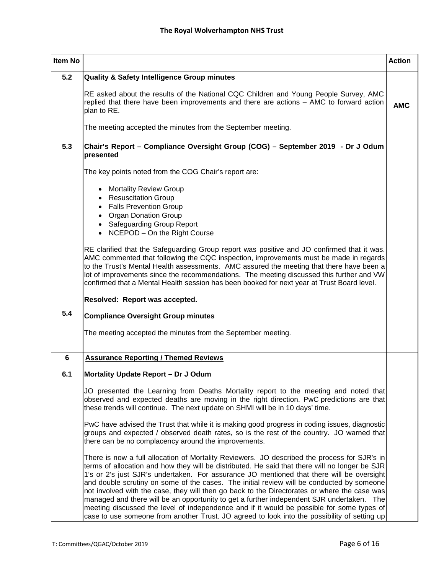| Item No          |                                                                                                                                                                                                                                                                                                                                                                                                                                                                                                                                                                                                                                                                                                                                                                                    | <b>Action</b> |
|------------------|------------------------------------------------------------------------------------------------------------------------------------------------------------------------------------------------------------------------------------------------------------------------------------------------------------------------------------------------------------------------------------------------------------------------------------------------------------------------------------------------------------------------------------------------------------------------------------------------------------------------------------------------------------------------------------------------------------------------------------------------------------------------------------|---------------|
| 5.2              | Quality & Safety Intelligence Group minutes                                                                                                                                                                                                                                                                                                                                                                                                                                                                                                                                                                                                                                                                                                                                        |               |
|                  | RE asked about the results of the National CQC Children and Young People Survey, AMC<br>replied that there have been improvements and there are actions - AMC to forward action<br>plan to RE.<br>The meeting accepted the minutes from the September meeting.                                                                                                                                                                                                                                                                                                                                                                                                                                                                                                                     | <b>AMC</b>    |
|                  |                                                                                                                                                                                                                                                                                                                                                                                                                                                                                                                                                                                                                                                                                                                                                                                    |               |
| 5.3              | Chair's Report - Compliance Oversight Group (COG) - September 2019 - Dr J Odum<br>presented                                                                                                                                                                                                                                                                                                                                                                                                                                                                                                                                                                                                                                                                                        |               |
|                  | The key points noted from the COG Chair's report are:                                                                                                                                                                                                                                                                                                                                                                                                                                                                                                                                                                                                                                                                                                                              |               |
|                  | <b>Mortality Review Group</b>                                                                                                                                                                                                                                                                                                                                                                                                                                                                                                                                                                                                                                                                                                                                                      |               |
|                  | <b>Resuscitation Group</b><br><b>Falls Prevention Group</b>                                                                                                                                                                                                                                                                                                                                                                                                                                                                                                                                                                                                                                                                                                                        |               |
|                  | $\bullet$<br><b>Organ Donation Group</b><br>$\bullet$                                                                                                                                                                                                                                                                                                                                                                                                                                                                                                                                                                                                                                                                                                                              |               |
|                  | <b>Safeguarding Group Report</b>                                                                                                                                                                                                                                                                                                                                                                                                                                                                                                                                                                                                                                                                                                                                                   |               |
|                  | NCEPOD - On the Right Course<br>$\bullet$                                                                                                                                                                                                                                                                                                                                                                                                                                                                                                                                                                                                                                                                                                                                          |               |
|                  | RE clarified that the Safeguarding Group report was positive and JO confirmed that it was.<br>AMC commented that following the CQC inspection, improvements must be made in regards<br>to the Trust's Mental Health assessments. AMC assured the meeting that there have been a<br>lot of improvements since the recommendations. The meeting discussed this further and VW<br>confirmed that a Mental Health session has been booked for next year at Trust Board level.                                                                                                                                                                                                                                                                                                          |               |
|                  | Resolved: Report was accepted.                                                                                                                                                                                                                                                                                                                                                                                                                                                                                                                                                                                                                                                                                                                                                     |               |
| 5.4              | <b>Compliance Oversight Group minutes</b>                                                                                                                                                                                                                                                                                                                                                                                                                                                                                                                                                                                                                                                                                                                                          |               |
|                  | The meeting accepted the minutes from the September meeting.                                                                                                                                                                                                                                                                                                                                                                                                                                                                                                                                                                                                                                                                                                                       |               |
| $\boldsymbol{6}$ | <b>Assurance Reporting / Themed Reviews</b>                                                                                                                                                                                                                                                                                                                                                                                                                                                                                                                                                                                                                                                                                                                                        |               |
| 6.1              | Mortality Update Report - Dr J Odum                                                                                                                                                                                                                                                                                                                                                                                                                                                                                                                                                                                                                                                                                                                                                |               |
|                  | JO presented the Learning from Deaths Mortality report to the meeting and noted that<br>observed and expected deaths are moving in the right direction. PwC predictions are that<br>these trends will continue. The next update on SHMI will be in 10 days' time.                                                                                                                                                                                                                                                                                                                                                                                                                                                                                                                  |               |
|                  | PwC have advised the Trust that while it is making good progress in coding issues, diagnostic<br>groups and expected / observed death rates, so is the rest of the country. JO warned that<br>there can be no complacency around the improvements.                                                                                                                                                                                                                                                                                                                                                                                                                                                                                                                                 |               |
|                  | There is now a full allocation of Mortality Reviewers. JO described the process for SJR's in<br>terms of allocation and how they will be distributed. He said that there will no longer be SJR<br>1's or 2's just SJR's undertaken. For assurance JO mentioned that there will be oversight<br>and double scrutiny on some of the cases. The initial review will be conducted by someone<br>not involved with the case, they will then go back to the Directorates or where the case was<br>managed and there will be an opportunity to get a further independent SJR undertaken. The<br>meeting discussed the level of independence and if it would be possible for some types of<br>case to use someone from another Trust. JO agreed to look into the possibility of setting up |               |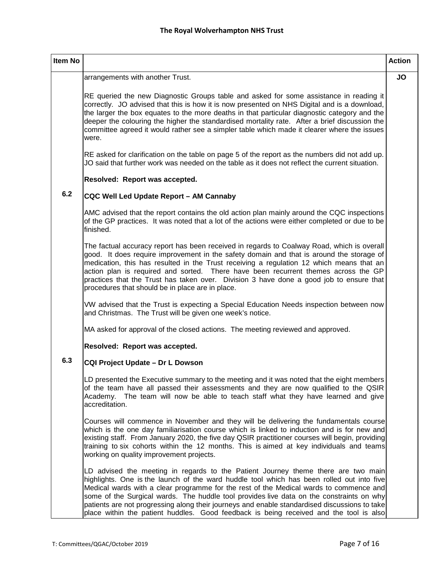| <b>Item No</b> |                                                                                                                                                                                                                                                                                                                                                                                                                                                                                                                                                                 | <b>Action</b> |
|----------------|-----------------------------------------------------------------------------------------------------------------------------------------------------------------------------------------------------------------------------------------------------------------------------------------------------------------------------------------------------------------------------------------------------------------------------------------------------------------------------------------------------------------------------------------------------------------|---------------|
|                | arrangements with another Trust.                                                                                                                                                                                                                                                                                                                                                                                                                                                                                                                                | JO            |
|                | RE queried the new Diagnostic Groups table and asked for some assistance in reading it<br>correctly. JO advised that this is how it is now presented on NHS Digital and is a download,<br>the larger the box equates to the more deaths in that particular diagnostic category and the<br>deeper the colouring the higher the standardised mortality rate. After a brief discussion the<br>committee agreed it would rather see a simpler table which made it clearer where the issues<br>were.                                                                 |               |
|                | RE asked for clarification on the table on page 5 of the report as the numbers did not add up.<br>JO said that further work was needed on the table as it does not reflect the current situation.                                                                                                                                                                                                                                                                                                                                                               |               |
|                | Resolved: Report was accepted.                                                                                                                                                                                                                                                                                                                                                                                                                                                                                                                                  |               |
| 6.2            | CQC Well Led Update Report - AM Cannaby                                                                                                                                                                                                                                                                                                                                                                                                                                                                                                                         |               |
|                | AMC advised that the report contains the old action plan mainly around the CQC inspections<br>of the GP practices. It was noted that a lot of the actions were either completed or due to be<br>finished.                                                                                                                                                                                                                                                                                                                                                       |               |
|                | The factual accuracy report has been received in regards to Coalway Road, which is overall<br>good. It does require improvement in the safety domain and that is around the storage of<br>medication, this has resulted in the Trust receiving a regulation 12 which means that an<br>action plan is required and sorted. There have been recurrent themes across the GP<br>practices that the Trust has taken over. Division 3 have done a good job to ensure that<br>procedures that should be in place are in place.                                         |               |
|                | VW advised that the Trust is expecting a Special Education Needs inspection between now<br>and Christmas. The Trust will be given one week's notice.                                                                                                                                                                                                                                                                                                                                                                                                            |               |
|                | MA asked for approval of the closed actions. The meeting reviewed and approved.                                                                                                                                                                                                                                                                                                                                                                                                                                                                                 |               |
|                | Resolved: Report was accepted.                                                                                                                                                                                                                                                                                                                                                                                                                                                                                                                                  |               |
| 6.3            | CQI Project Update - Dr L Dowson                                                                                                                                                                                                                                                                                                                                                                                                                                                                                                                                |               |
|                | LD presented the Executive summary to the meeting and it was noted that the eight members<br>of the team have all passed their assessments and they are now qualified to the QSIR<br>Academy. The team will now be able to teach staff what they have learned and give<br>accreditation.                                                                                                                                                                                                                                                                        |               |
|                | Courses will commence in November and they will be delivering the fundamentals course<br>which is the one day familiarisation course which is linked to induction and is for new and<br>existing staff. From January 2020, the five day QSIR practitioner courses will begin, providing<br>training to six cohorts within the 12 months. This is aimed at key individuals and teams<br>working on quality improvement projects.                                                                                                                                 |               |
|                | LD advised the meeting in regards to the Patient Journey theme there are two main<br>highlights. One is the launch of the ward huddle tool which has been rolled out into five<br>Medical wards with a clear programme for the rest of the Medical wards to commence and<br>some of the Surgical wards. The huddle tool provides live data on the constraints on why<br>patients are not progressing along their journeys and enable standardised discussions to take<br>place within the patient huddles. Good feedback is being received and the tool is also |               |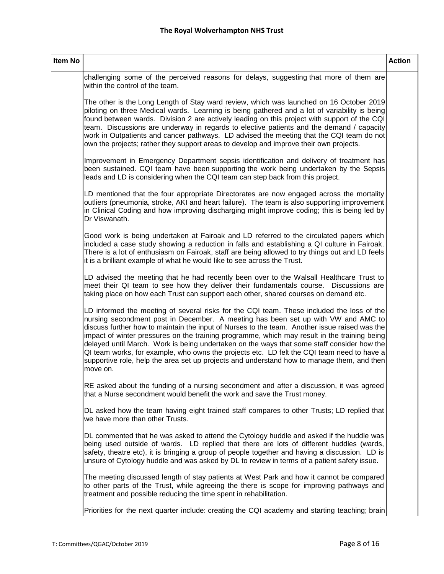| Item No |                                                                                                                                                                                                                                                                                                                                                                                                                                                                                                                                                                                                                                                                                       | <b>Action</b> |
|---------|---------------------------------------------------------------------------------------------------------------------------------------------------------------------------------------------------------------------------------------------------------------------------------------------------------------------------------------------------------------------------------------------------------------------------------------------------------------------------------------------------------------------------------------------------------------------------------------------------------------------------------------------------------------------------------------|---------------|
|         | challenging some of the perceived reasons for delays, suggesting that more of them are<br>within the control of the team.                                                                                                                                                                                                                                                                                                                                                                                                                                                                                                                                                             |               |
|         | The other is the Long Length of Stay ward review, which was launched on 16 October 2019<br>piloting on three Medical wards. Learning is being gathered and a lot of variability is being<br>found between wards. Division 2 are actively leading on this project with support of the CQI<br>team. Discussions are underway in regards to elective patients and the demand / capacity<br>work in Outpatients and cancer pathways. LD advised the meeting that the CQI team do not<br>own the projects; rather they support areas to develop and improve their own projects.                                                                                                            |               |
|         | Improvement in Emergency Department sepsis identification and delivery of treatment has<br>been sustained. CQI team have been supporting the work being undertaken by the Sepsis<br>leads and LD is considering when the CQI team can step back from this project.                                                                                                                                                                                                                                                                                                                                                                                                                    |               |
|         | LD mentioned that the four appropriate Directorates are now engaged across the mortality<br>outliers (pneumonia, stroke, AKI and heart failure). The team is also supporting improvement<br>in Clinical Coding and how improving discharging might improve coding; this is being led by<br>Dr Viswanath.                                                                                                                                                                                                                                                                                                                                                                              |               |
|         | Good work is being undertaken at Fairoak and LD referred to the circulated papers which<br>included a case study showing a reduction in falls and establishing a QI culture in Fairoak.<br>There is a lot of enthusiasm on Fairoak, staff are being allowed to try things out and LD feels<br>it is a brilliant example of what he would like to see across the Trust.                                                                                                                                                                                                                                                                                                                |               |
|         | LD advised the meeting that he had recently been over to the Walsall Healthcare Trust to<br>meet their QI team to see how they deliver their fundamentals course. Discussions are<br>taking place on how each Trust can support each other, shared courses on demand etc.                                                                                                                                                                                                                                                                                                                                                                                                             |               |
|         | LD informed the meeting of several risks for the CQI team. These included the loss of the<br>nursing secondment post in December. A meeting has been set up with VW and AMC to<br>discuss further how to maintain the input of Nurses to the team. Another issue raised was the<br>impact of winter pressures on the training programme, which may result in the training being<br>delayed until March. Work is being undertaken on the ways that some staff consider how the<br>QI team works, for example, who owns the projects etc. LD felt the CQI team need to have a<br>supportive role, help the area set up projects and understand how to manage them, and then<br>move on. |               |
|         | RE asked about the funding of a nursing secondment and after a discussion, it was agreed<br>that a Nurse secondment would benefit the work and save the Trust money.                                                                                                                                                                                                                                                                                                                                                                                                                                                                                                                  |               |
|         | DL asked how the team having eight trained staff compares to other Trusts; LD replied that<br>we have more than other Trusts.                                                                                                                                                                                                                                                                                                                                                                                                                                                                                                                                                         |               |
|         | DL commented that he was asked to attend the Cytology huddle and asked if the huddle was<br>being used outside of wards. LD replied that there are lots of different huddles (wards,<br>safety, theatre etc), it is bringing a group of people together and having a discussion. LD is<br>unsure of Cytology huddle and was asked by DL to review in terms of a patient safety issue.                                                                                                                                                                                                                                                                                                 |               |
|         | The meeting discussed length of stay patients at West Park and how it cannot be compared<br>to other parts of the Trust, while agreeing the there is scope for improving pathways and<br>treatment and possible reducing the time spent in rehabilitation.                                                                                                                                                                                                                                                                                                                                                                                                                            |               |
|         | Priorities for the next quarter include: creating the CQI academy and starting teaching; brain                                                                                                                                                                                                                                                                                                                                                                                                                                                                                                                                                                                        |               |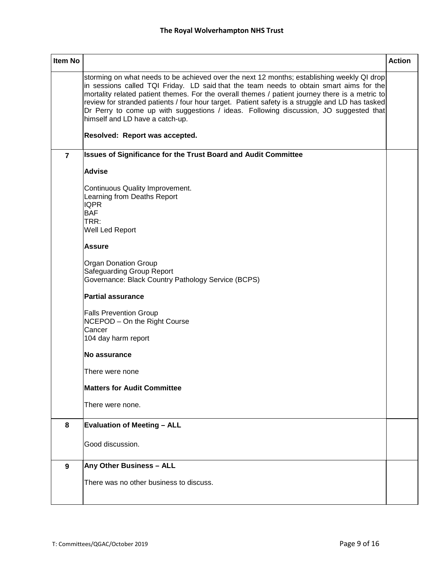| <b>Item No</b> |                                                                                                                                                                                                                                                                                                                                                                                                                                                                                                                                                           | <b>Action</b> |
|----------------|-----------------------------------------------------------------------------------------------------------------------------------------------------------------------------------------------------------------------------------------------------------------------------------------------------------------------------------------------------------------------------------------------------------------------------------------------------------------------------------------------------------------------------------------------------------|---------------|
|                | storming on what needs to be achieved over the next 12 months; establishing weekly QI drop<br>in sessions called TQI Friday. LD said that the team needs to obtain smart aims for the<br>mortality related patient themes. For the overall themes / patient journey there is a metric to<br>review for stranded patients / four hour target. Patient safety is a struggle and LD has tasked<br>Dr Perry to come up with suggestions / ideas. Following discussion, JO suggested that<br>himself and LD have a catch-up.<br>Resolved: Report was accepted. |               |
| $\overline{7}$ | <b>Issues of Significance for the Trust Board and Audit Committee</b>                                                                                                                                                                                                                                                                                                                                                                                                                                                                                     |               |
|                | <b>Advise</b>                                                                                                                                                                                                                                                                                                                                                                                                                                                                                                                                             |               |
|                | Continuous Quality Improvement.<br>Learning from Deaths Report<br><b>IQPR</b><br><b>BAF</b><br>TRR:<br>Well Led Report                                                                                                                                                                                                                                                                                                                                                                                                                                    |               |
|                | <b>Assure</b>                                                                                                                                                                                                                                                                                                                                                                                                                                                                                                                                             |               |
|                | <b>Organ Donation Group</b><br><b>Safeguarding Group Report</b><br>Governance: Black Country Pathology Service (BCPS)                                                                                                                                                                                                                                                                                                                                                                                                                                     |               |
|                | <b>Partial assurance</b>                                                                                                                                                                                                                                                                                                                                                                                                                                                                                                                                  |               |
|                | <b>Falls Prevention Group</b><br>NCEPOD - On the Right Course<br>Cancer<br>104 day harm report                                                                                                                                                                                                                                                                                                                                                                                                                                                            |               |
|                | No assurance                                                                                                                                                                                                                                                                                                                                                                                                                                                                                                                                              |               |
|                | There were none                                                                                                                                                                                                                                                                                                                                                                                                                                                                                                                                           |               |
|                | <b>Matters for Audit Committee</b>                                                                                                                                                                                                                                                                                                                                                                                                                                                                                                                        |               |
|                | There were none.                                                                                                                                                                                                                                                                                                                                                                                                                                                                                                                                          |               |
| 8              | <b>Evaluation of Meeting - ALL</b>                                                                                                                                                                                                                                                                                                                                                                                                                                                                                                                        |               |
|                | Good discussion.                                                                                                                                                                                                                                                                                                                                                                                                                                                                                                                                          |               |
| 9              | Any Other Business - ALL                                                                                                                                                                                                                                                                                                                                                                                                                                                                                                                                  |               |
|                | There was no other business to discuss.                                                                                                                                                                                                                                                                                                                                                                                                                                                                                                                   |               |
|                |                                                                                                                                                                                                                                                                                                                                                                                                                                                                                                                                                           |               |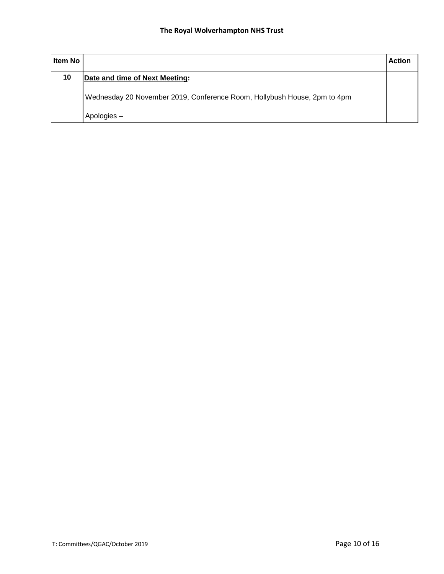| <b>Item No</b> |                                                                          | <b>Action</b> |
|----------------|--------------------------------------------------------------------------|---------------|
| 10             | Date and time of Next Meeting:                                           |               |
|                | Wednesday 20 November 2019, Conference Room, Hollybush House, 2pm to 4pm |               |
|                | Apologies -                                                              |               |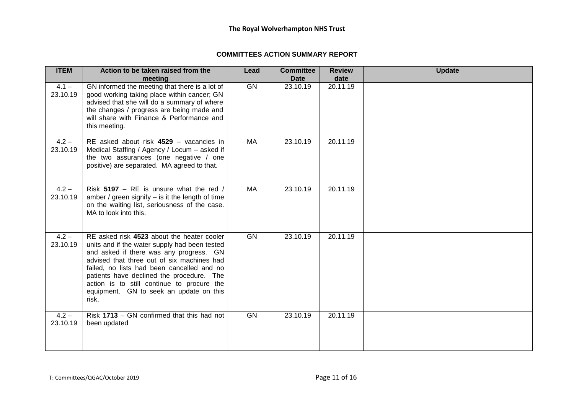#### **COMMITTEES ACTION SUMMARY REPORT**

| <b>ITEM</b>         | Action to be taken raised from the<br>meeting                                                                                                                                                                                                                                                                                                                                     | Lead      | <b>Committee</b><br><b>Date</b> | <b>Review</b><br>date | <b>Update</b> |
|---------------------|-----------------------------------------------------------------------------------------------------------------------------------------------------------------------------------------------------------------------------------------------------------------------------------------------------------------------------------------------------------------------------------|-----------|---------------------------------|-----------------------|---------------|
| $4.1 -$<br>23.10.19 | GN informed the meeting that there is a lot of<br>good working taking place within cancer; GN<br>advised that she will do a summary of where<br>the changes / progress are being made and<br>will share with Finance & Performance and<br>this meeting.                                                                                                                           | GN        | 23.10.19                        | 20.11.19              |               |
| $4.2 -$<br>23.10.19 | RE asked about risk 4529 - vacancies in<br>Medical Staffing / Agency / Locum - asked if<br>the two assurances (one negative / one<br>positive) are separated. MA agreed to that.                                                                                                                                                                                                  | MA        | 23.10.19                        | 20.11.19              |               |
| $4.2 -$<br>23.10.19 | Risk 5197 - RE is unsure what the red /<br>amber / green signify $-$ is it the length of time<br>on the waiting list, seriousness of the case.<br>MA to look into this.                                                                                                                                                                                                           | MA        | 23.10.19                        | 20.11.19              |               |
| $4.2 -$<br>23.10.19 | RE asked risk 4523 about the heater cooler<br>units and if the water supply had been tested<br>and asked if there was any progress. GN<br>advised that three out of six machines had<br>failed, no lists had been cancelled and no<br>patients have declined the procedure. The<br>action is to still continue to procure the<br>equipment. GN to seek an update on this<br>risk. | GN        | 23.10.19                        | 20.11.19              |               |
| $4.2 -$<br>23.10.19 | Risk 1713 - GN confirmed that this had not<br>been updated                                                                                                                                                                                                                                                                                                                        | <b>GN</b> | 23.10.19                        | 20.11.19              |               |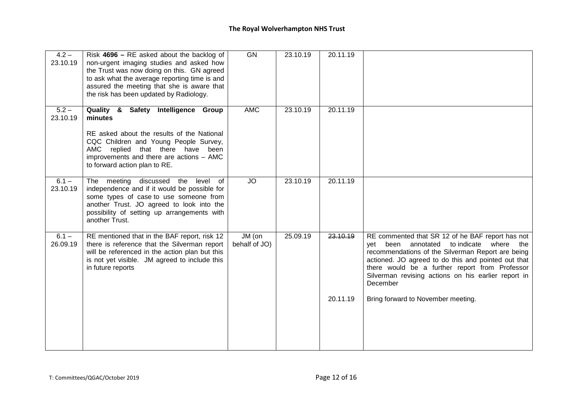| $4.2 -$<br>23.10.19 | Risk $4696$ – RE asked about the backlog of<br>non-urgent imaging studies and asked how<br>the Trust was now doing on this. GN agreed<br>to ask what the average reporting time is and<br>assured the meeting that she is aware that<br>the risk has been updated by Radiology. | GN                      | 23.10.19 | 20.11.19 |                                                                                                                                                                                                                                                                                                                                        |
|---------------------|---------------------------------------------------------------------------------------------------------------------------------------------------------------------------------------------------------------------------------------------------------------------------------|-------------------------|----------|----------|----------------------------------------------------------------------------------------------------------------------------------------------------------------------------------------------------------------------------------------------------------------------------------------------------------------------------------------|
| $5.2 -$<br>23.10.19 | Quality & Safety Intelligence Group<br>minutes<br>RE asked about the results of the National<br>CQC Children and Young People Survey,<br>AMC replied that there have been<br>improvements and there are actions - AMC<br>to forward action plan to RE.                          | <b>AMC</b>              | 23.10.19 | 20.11.19 |                                                                                                                                                                                                                                                                                                                                        |
| $6.1 -$<br>23.10.19 | The meeting discussed the<br>level of<br>independence and if it would be possible for<br>some types of case to use someone from<br>another Trust. JO agreed to look into the<br>possibility of setting up arrangements with<br>another Trust.                                   | <b>JO</b>               | 23.10.19 | 20.11.19 |                                                                                                                                                                                                                                                                                                                                        |
| $6.1 -$<br>26.09.19 | RE mentioned that in the BAF report, risk 12<br>there is reference that the Silverman report<br>will be referenced in the action plan but this<br>is not yet visible. JM agreed to include this<br>in future reports                                                            | JM (on<br>behalf of JO) | 25.09.19 | 23.10.19 | RE commented that SR 12 of he BAF report has not<br>to indicate where the<br>been<br>annotated<br>vet<br>recommendations of the Silverman Report are being<br>actioned. JO agreed to do this and pointed out that<br>there would be a further report from Professor<br>Silverman revising actions on his earlier report in<br>December |
|                     |                                                                                                                                                                                                                                                                                 |                         |          | 20.11.19 | Bring forward to November meeting.                                                                                                                                                                                                                                                                                                     |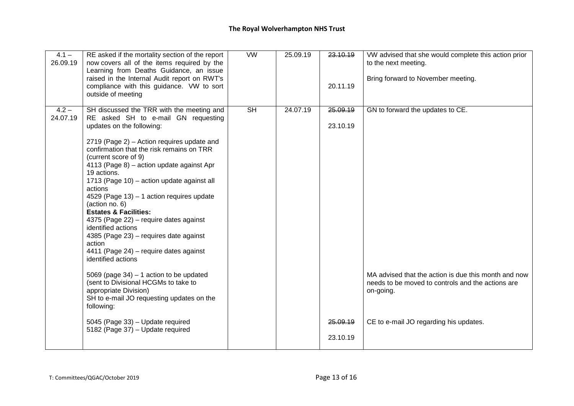| $4.1 -$<br>26.09.19 | RE asked if the mortality section of the report<br>now covers all of the items required by the<br>Learning from Deaths Guidance, an issue<br>raised in the Internal Audit report on RWT's<br>compliance with this guidance. VW to sort<br>outside of meeting                                                                                                                                                                                                                                                                                                                                                                                                                                                                                                                   | W                        | 25.09.19 | 23.10.19<br>20.11.19 | VW advised that she would complete this action prior<br>to the next meeting.<br>Bring forward to November meeting.                                               |
|---------------------|--------------------------------------------------------------------------------------------------------------------------------------------------------------------------------------------------------------------------------------------------------------------------------------------------------------------------------------------------------------------------------------------------------------------------------------------------------------------------------------------------------------------------------------------------------------------------------------------------------------------------------------------------------------------------------------------------------------------------------------------------------------------------------|--------------------------|----------|----------------------|------------------------------------------------------------------------------------------------------------------------------------------------------------------|
| $4.2 -$             | SH discussed the TRR with the meeting and                                                                                                                                                                                                                                                                                                                                                                                                                                                                                                                                                                                                                                                                                                                                      | $\overline{\mathsf{SH}}$ | 24.07.19 | 25.09.19             | GN to forward the updates to CE.                                                                                                                                 |
| 24.07.19            | RE asked SH to e-mail GN requesting<br>updates on the following:                                                                                                                                                                                                                                                                                                                                                                                                                                                                                                                                                                                                                                                                                                               |                          |          | 23.10.19             |                                                                                                                                                                  |
|                     | 2719 (Page 2) – Action requires update and<br>confirmation that the risk remains on TRR<br>(current score of 9)<br>4113 (Page 8) - action update against Apr<br>19 actions.<br>1713 (Page 10) – action update against all<br>actions<br>4529 (Page 13) - 1 action requires update<br>(action no. 6)<br><b>Estates &amp; Facilities:</b><br>4375 (Page 22) – require dates against<br>identified actions<br>4385 (Page 23) - requires date against<br>action<br>4411 (Page 24) - require dates against<br>identified actions<br>5069 (page $34$ ) $-1$ action to be updated<br>(sent to Divisional HCGMs to take to<br>appropriate Division)<br>SH to e-mail JO requesting updates on the<br>following:<br>5045 (Page 33) - Update required<br>5182 (Page 37) - Update required |                          |          | 25,09.19<br>23.10.19 | MA advised that the action is due this month and now<br>needs to be moved to controls and the actions are<br>on-going.<br>CE to e-mail JO regarding his updates. |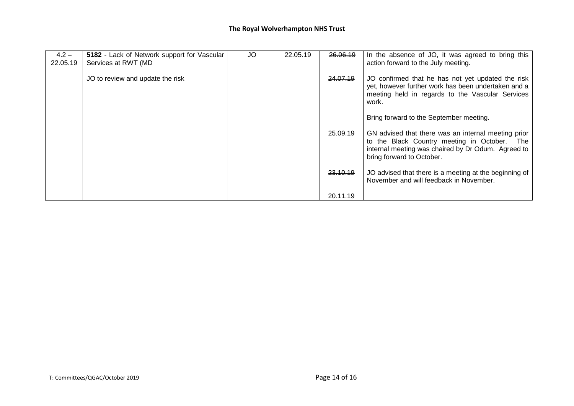| $4.2 -$<br>22.05.19 | 5182 - Lack of Network support for Vascular<br>Services at RWT (MD | JO | 22.05.19 | 26.06.19 | In the absence of JO, it was agreed to bring this<br>action forward to the July meeting.                                                                                               |
|---------------------|--------------------------------------------------------------------|----|----------|----------|----------------------------------------------------------------------------------------------------------------------------------------------------------------------------------------|
|                     | JO to review and update the risk                                   |    |          | 24.07.19 | JO confirmed that he has not yet updated the risk<br>yet, however further work has been undertaken and a<br>meeting held in regards to the Vascular Services<br>work.                  |
|                     |                                                                    |    |          |          | Bring forward to the September meeting.                                                                                                                                                |
|                     |                                                                    |    |          | 25.09.19 | GN advised that there was an internal meeting prior<br>to the Black Country meeting in October. The<br>internal meeting was chaired by Dr Odum. Agreed to<br>bring forward to October. |
|                     |                                                                    |    |          | 23.10.19 | JO advised that there is a meeting at the beginning of<br>November and will feedback in November.                                                                                      |
|                     |                                                                    |    |          | 20.11.19 |                                                                                                                                                                                        |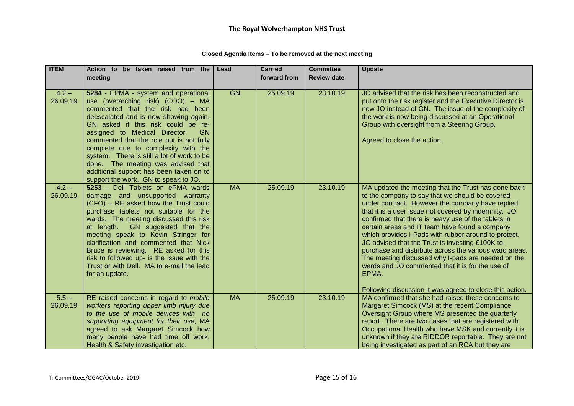| Closed Agenda Items - To be removed at the next meeting |  |  |
|---------------------------------------------------------|--|--|
|---------------------------------------------------------|--|--|

| <b>ITEM</b> | Action to be taken raised from the                                          | Lead      | <b>Carried</b> | <b>Committee</b>   | <b>Update</b>                                                                                       |
|-------------|-----------------------------------------------------------------------------|-----------|----------------|--------------------|-----------------------------------------------------------------------------------------------------|
|             | meeting                                                                     |           | forward from   | <b>Review date</b> |                                                                                                     |
|             |                                                                             |           |                |                    |                                                                                                     |
| $4.2 -$     | 5284 - EPMA - system and operational                                        | <b>GN</b> | 25.09.19       | 23.10.19           | JO advised that the risk has been reconstructed and                                                 |
| 26.09.19    | use (overarching risk) (COO) - MA                                           |           |                |                    | put onto the risk register and the Executive Director is                                            |
|             | commented that the risk had been                                            |           |                |                    | now JO instead of GN. The issue of the complexity of                                                |
|             | deescalated and is now showing again.<br>GN asked if this risk could be re- |           |                |                    | the work is now being discussed at an Operational<br>Group with oversight from a Steering Group.    |
|             | assigned to Medical Director.<br><b>GN</b>                                  |           |                |                    |                                                                                                     |
|             | commented that the role out is not fully                                    |           |                |                    | Agreed to close the action.                                                                         |
|             | complete due to complexity with the                                         |           |                |                    |                                                                                                     |
|             | system. There is still a lot of work to be                                  |           |                |                    |                                                                                                     |
|             | done. The meeting was advised that                                          |           |                |                    |                                                                                                     |
|             | additional support has been taken on to                                     |           |                |                    |                                                                                                     |
|             | support the work. GN to speak to JO.                                        |           |                |                    |                                                                                                     |
| $4.2 -$     | 5253 - Dell Tablets on ePMA wards                                           | <b>MA</b> | 25.09.19       | 23.10.19           | MA updated the meeting that the Trust has gone back                                                 |
| 26.09.19    | damage and unsupported warranty<br>(CFO) - RE asked how the Trust could     |           |                |                    | to the company to say that we should be covered<br>under contract. However the company have replied |
|             | purchase tablets not suitable for the                                       |           |                |                    | that it is a user issue not covered by indemnity. JO                                                |
|             | wards. The meeting discussed this risk                                      |           |                |                    | confirmed that there is heavy use of the tablets in                                                 |
|             | at length. GN suggested that the                                            |           |                |                    | certain areas and IT team have found a company                                                      |
|             | meeting speak to Kevin Stringer for                                         |           |                |                    | which provides I-Pads with rubber around to protect.                                                |
|             | clarification and commented that Nick                                       |           |                |                    | JO advised that the Trust is investing £100K to                                                     |
|             | Bruce is reviewing. RE asked for this                                       |           |                |                    | purchase and distribute across the various ward areas.                                              |
|             | risk to followed up- is the issue with the                                  |           |                |                    | The meeting discussed why I-pads are needed on the                                                  |
|             | Trust or with Dell. MA to e-mail the lead                                   |           |                |                    | wards and JO commented that it is for the use of                                                    |
|             | for an update.                                                              |           |                |                    | EPMA.                                                                                               |
|             |                                                                             |           |                |                    | Following discussion it was agreed to close this action.                                            |
| $5.5 -$     | RE raised concerns in regard to mobile                                      | <b>MA</b> | 25.09.19       | 23.10.19           | MA confirmed that she had raised these concerns to                                                  |
| 26.09.19    | workers reporting upper limb injury due                                     |           |                |                    | Margaret Simcock (MS) at the recent Compliance                                                      |
|             | to the use of mobile devices with no                                        |           |                |                    | Oversight Group where MS presented the quarterly                                                    |
|             | supporting equipment for their use, MA                                      |           |                |                    | report. There are two cases that are registered with                                                |
|             | agreed to ask Margaret Simcock how                                          |           |                |                    | Occupational Health who have MSK and currently it is                                                |
|             | many people have had time off work,                                         |           |                |                    | unknown if they are RIDDOR reportable. They are not                                                 |
|             | Health & Safety investigation etc.                                          |           |                |                    | being investigated as part of an RCA but they are                                                   |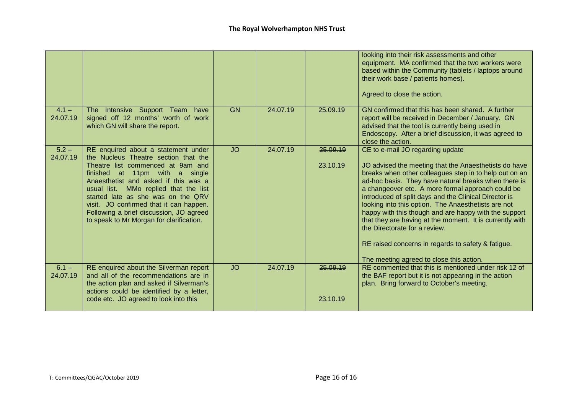|                     |                                                                                                                                                                                                                                                                                                                                                                                                             |           |          |                      | looking into their risk assessments and other<br>equipment. MA confirmed that the two workers were<br>based within the Community (tablets / laptops around<br>their work base / patients homes).<br>Agreed to close the action.                                                                                                                                                                                                                                                                                                                                                                                                          |
|---------------------|-------------------------------------------------------------------------------------------------------------------------------------------------------------------------------------------------------------------------------------------------------------------------------------------------------------------------------------------------------------------------------------------------------------|-----------|----------|----------------------|------------------------------------------------------------------------------------------------------------------------------------------------------------------------------------------------------------------------------------------------------------------------------------------------------------------------------------------------------------------------------------------------------------------------------------------------------------------------------------------------------------------------------------------------------------------------------------------------------------------------------------------|
| $4.1 -$<br>24.07.19 | The Intensive Support Team have<br>signed off 12 months' worth of work<br>which GN will share the report.                                                                                                                                                                                                                                                                                                   | <b>GN</b> | 24.07.19 | 25.09.19             | GN confirmed that this has been shared. A further<br>report will be received in December / January. GN<br>advised that the tool is currently being used in<br>Endoscopy. After a brief discussion, it was agreed to<br>close the action.                                                                                                                                                                                                                                                                                                                                                                                                 |
| $5.2 -$<br>24.07.19 | RE enquired about a statement under<br>the Nucleus Theatre section that the<br>Theatre list commenced at 9am and<br>finished at 11pm with a single<br>Anaesthetist and asked if this was a<br>usual list. MMo replied that the list<br>started late as she was on the QRV<br>visit. JO confirmed that it can happen.<br>Following a brief discussion, JO agreed<br>to speak to Mr Morgan for clarification. | <b>JO</b> | 24.07.19 | 25.09.19<br>23.10.19 | CE to e-mail JO regarding update<br>JO advised the meeting that the Anaesthetists do have<br>breaks when other colleagues step in to help out on an<br>ad-hoc basis. They have natural breaks when there is<br>a changeover etc. A more formal approach could be<br>introduced of split days and the Clinical Director is<br>looking into this option. The Anaesthetists are not<br>happy with this though and are happy with the support<br>that they are having at the moment. It is currently with<br>the Directorate for a review.<br>RE raised concerns in regards to safety & fatigue.<br>The meeting agreed to close this action. |
| $6.1 -$<br>24.07.19 | RE enquired about the Silverman report<br>and all of the recommendations are in<br>the action plan and asked if Silverman's<br>actions could be identified by a letter,<br>code etc. JO agreed to look into this                                                                                                                                                                                            | <b>JO</b> | 24.07.19 | 25.09.19<br>23.10.19 | RE commented that this is mentioned under risk 12 of<br>the BAF report but it is not appearing in the action<br>plan. Bring forward to October's meeting.                                                                                                                                                                                                                                                                                                                                                                                                                                                                                |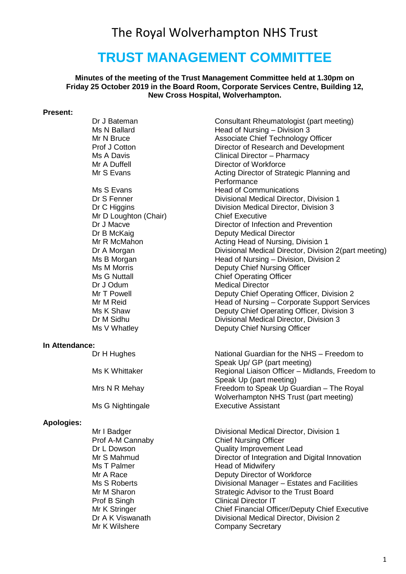## The Royal Wolverhampton NHS Trust

## **TRUST MANAGEMENT COMMITTEE**

**Minutes of the meeting of the Trust Management Committee held at 1.30pm on Friday 25 October 2019 in the Board Room, Corporate Services Centre, Building 12, New Cross Hospital, Wolverhampton.**

#### **Present:**

|                   | Dr J Bateman          | Consultant Rheumatologist (part meeting)              |
|-------------------|-----------------------|-------------------------------------------------------|
|                   | Ms N Ballard          | Head of Nursing - Division 3                          |
|                   | Mr N Bruce            | Associate Chief Technology Officer                    |
|                   | Prof J Cotton         | Director of Research and Development                  |
|                   | Ms A Davis            | Clinical Director - Pharmacy                          |
|                   | Mr A Duffell          | Director of Workforce                                 |
|                   |                       |                                                       |
|                   | Mr S Evans            | Acting Director of Strategic Planning and             |
|                   |                       | Performance                                           |
|                   | Ms S Evans            | <b>Head of Communications</b>                         |
|                   | Dr S Fenner           | Divisional Medical Director, Division 1               |
|                   | Dr C Higgins          | Division Medical Director, Division 3                 |
|                   | Mr D Loughton (Chair) | <b>Chief Executive</b>                                |
|                   | Dr J Macve            | Director of Infection and Prevention                  |
|                   | Dr B McKaig           | <b>Deputy Medical Director</b>                        |
|                   | Mr R McMahon          | Acting Head of Nursing, Division 1                    |
|                   | Dr A Morgan           | Divisional Medical Director, Division 2(part meeting) |
|                   | Ms B Morgan           | Head of Nursing - Division, Division 2                |
|                   | Ms M Morris           | Deputy Chief Nursing Officer                          |
|                   | Ms G Nuttall          | <b>Chief Operating Officer</b>                        |
|                   |                       | <b>Medical Director</b>                               |
|                   | Dr J Odum             |                                                       |
|                   | Mr T Powell           | Deputy Chief Operating Officer, Division 2            |
|                   | Mr M Reid             | Head of Nursing - Corporate Support Services          |
|                   | Ms K Shaw             | Deputy Chief Operating Officer, Division 3            |
|                   | Dr M Sidhu            | Divisional Medical Director, Division 3               |
|                   | Ms V Whatley          | Deputy Chief Nursing Officer                          |
| In Attendance:    |                       |                                                       |
|                   | Dr H Hughes           | National Guardian for the NHS - Freedom to            |
|                   |                       | Speak Up/ GP (part meeting)                           |
|                   | Ms K Whittaker        | Regional Liaison Officer - Midlands, Freedom to       |
|                   |                       | Speak Up (part meeting)                               |
|                   | Mrs N R Mehay         | Freedom to Speak Up Guardian - The Royal              |
|                   |                       |                                                       |
|                   |                       | Wolverhampton NHS Trust (part meeting)                |
|                   | Ms G Nightingale      | <b>Executive Assistant</b>                            |
| <b>Apologies:</b> |                       |                                                       |
|                   | Mr I Badger           | Divisional Medical Director, Division 1               |
|                   | Prof A-M Cannaby      | <b>Chief Nursing Officer</b>                          |
|                   | Dr L Dowson           | <b>Quality Improvement Lead</b>                       |
|                   | Mr S Mahmud           | Director of Integration and Digital Innovation        |
|                   | Ms T Palmer           | <b>Head of Midwifery</b>                              |
|                   | Mr A Race             | Deputy Director of Workforce                          |
|                   | Ms S Roberts          | Divisional Manager - Estates and Facilities           |
|                   | Mr M Sharon           | Strategic Advisor to the Trust Board                  |
|                   |                       |                                                       |
|                   | Prof B Singh          | <b>Clinical Director IT</b>                           |
|                   | Mr K Stringer         | <b>Chief Financial Officer/Deputy Chief Executive</b> |
|                   | Dr A K Viswanath      | Divisional Medical Director, Division 2               |
|                   | Mr K Wilshere         | <b>Company Secretary</b>                              |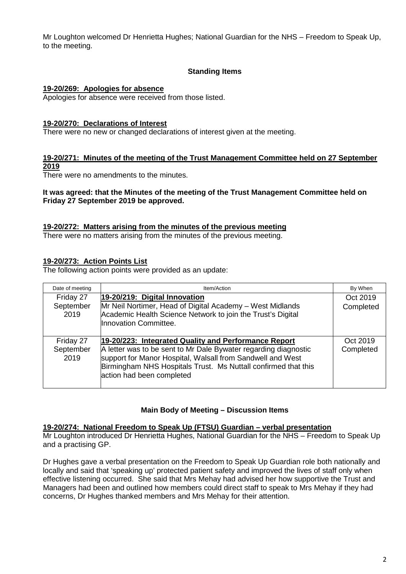Mr Loughton welcomed Dr Henrietta Hughes; National Guardian for the NHS – Freedom to Speak Up, to the meeting.

#### **Standing Items**

#### **19-20/269: Apologies for absence**

Apologies for absence were received from those listed.

#### **19-20/270: Declarations of Interest**

There were no new or changed declarations of interest given at the meeting.

#### **19-20/271: Minutes of the meeting of the Trust Management Committee held on 27 September 2019**

There were no amendments to the minutes.

#### **It was agreed: that the Minutes of the meeting of the Trust Management Committee held on Friday 27 September 2019 be approved.**

#### **19-20/272: Matters arising from the minutes of the previous meeting**

There were no matters arising from the minutes of the previous meeting.

#### **19-20/273: Action Points List**

The following action points were provided as an update:

| Date of meeting                | Item/Action                                                                                                                                                                                                                                                                          |                       |
|--------------------------------|--------------------------------------------------------------------------------------------------------------------------------------------------------------------------------------------------------------------------------------------------------------------------------------|-----------------------|
| Friday 27<br>September<br>2019 | 19-20/219: Digital Innovation<br>Mr Neil Nortimer, Head of Digital Academy - West Midlands<br>Academic Health Science Network to join the Trust's Digital<br>Innovation Committee.                                                                                                   | Oct 2019<br>Completed |
| Friday 27<br>September<br>2019 | 19-20/223: Integrated Quality and Performance Report<br>A letter was to be sent to Mr Dale Bywater regarding diagnostic<br>support for Manor Hospital, Walsall from Sandwell and West<br>Birmingham NHS Hospitals Trust. Ms Nuttall confirmed that this<br>action had been completed | Oct 2019<br>Completed |

#### **Main Body of Meeting – Discussion Items**

#### **19-20/274: National Freedom to Speak Up (FTSU) Guardian – verbal presentation**

Mr Loughton introduced Dr Henrietta Hughes, National Guardian for the NHS – Freedom to Speak Up and a practising GP.

Dr Hughes gave a verbal presentation on the Freedom to Speak Up Guardian role both nationally and locally and said that 'speaking up' protected patient safety and improved the lives of staff only when effective listening occurred. She said that Mrs Mehay had advised her how supportive the Trust and Managers had been and outlined how members could direct staff to speak to Mrs Mehay if they had concerns, Dr Hughes thanked members and Mrs Mehay for their attention.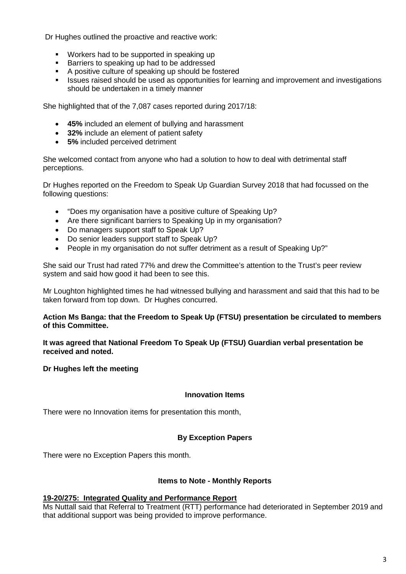Dr Hughes outlined the proactive and reactive work:

- **Workers had to be supported in speaking up**
- **Barriers to speaking up had to be addressed**
- A positive culture of speaking up should be fostered
- **In Its and Should be used as opportunities for learning and improvement and investigations** should be undertaken in a timely manner

She highlighted that of the 7,087 cases reported during 2017/18:

- **45%** included an element of bullying and harassment
- **32%** include an element of patient safety
- **5%** included perceived detriment

She welcomed contact from anyone who had a solution to how to deal with detrimental staff perceptions.

Dr Hughes reported on the Freedom to Speak Up Guardian Survey 2018 that had focussed on the following questions:

- "Does my organisation have a positive culture of Speaking Up?
- Are there significant barriers to Speaking Up in my organisation?
- Do managers support staff to Speak Up?
- Do senior leaders support staff to Speak Up?
- People in my organisation do not suffer detriment as a result of Speaking Up?"

She said our Trust had rated 77% and drew the Committee's attention to the Trust's peer review system and said how good it had been to see this.

Mr Loughton highlighted times he had witnessed bullying and harassment and said that this had to be taken forward from top down. Dr Hughes concurred.

#### **Action Ms Banga: that the Freedom to Speak Up (FTSU) presentation be circulated to members of this Committee.**

**It was agreed that National Freedom To Speak Up (FTSU) Guardian verbal presentation be received and noted.**

#### **Dr Hughes left the meeting**

#### **Innovation Items**

There were no Innovation items for presentation this month,

#### **By Exception Papers**

There were no Exception Papers this month.

#### **Items to Note - Monthly Reports**

#### **19-20/275: Integrated Quality and Performance Report**

Ms Nuttall said that Referral to Treatment (RTT) performance had deteriorated in September 2019 and that additional support was being provided to improve performance.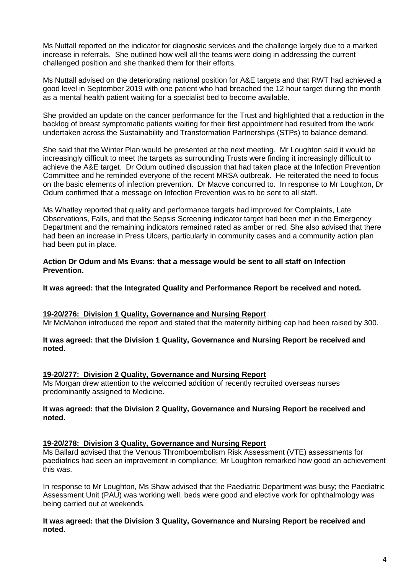Ms Nuttall reported on the indicator for diagnostic services and the challenge largely due to a marked increase in referrals. She outlined how well all the teams were doing in addressing the current challenged position and she thanked them for their efforts.

Ms Nuttall advised on the deteriorating national position for A&E targets and that RWT had achieved a good level in September 2019 with one patient who had breached the 12 hour target during the month as a mental health patient waiting for a specialist bed to become available.

She provided an update on the cancer performance for the Trust and highlighted that a reduction in the backlog of breast symptomatic patients waiting for their first appointment had resulted from the work undertaken across the Sustainability and Transformation Partnerships (STPs) to balance demand.

She said that the Winter Plan would be presented at the next meeting. Mr Loughton said it would be increasingly difficult to meet the targets as surrounding Trusts were finding it increasingly difficult to achieve the A&E target. Dr Odum outlined discussion that had taken place at the Infection Prevention Committee and he reminded everyone of the recent MRSA outbreak. He reiterated the need to focus on the basic elements of infection prevention. Dr Macve concurred to. In response to Mr Loughton, Dr Odum confirmed that a message on Infection Prevention was to be sent to all staff.

Ms Whatley reported that quality and performance targets had improved for Complaints, Late Observations, Falls, and that the Sepsis Screening indicator target had been met in the Emergency Department and the remaining indicators remained rated as amber or red. She also advised that there had been an increase in Press Ulcers, particularly in community cases and a community action plan had been put in place.

#### **Action Dr Odum and Ms Evans: that a message would be sent to all staff on Infection Prevention.**

**It was agreed: that the Integrated Quality and Performance Report be received and noted.**

#### **19-20/276: Division 1 Quality, Governance and Nursing Report**

Mr McMahon introduced the report and stated that the maternity birthing cap had been raised by 300.

#### **It was agreed: that the Division 1 Quality, Governance and Nursing Report be received and noted.**

#### **19-20/277: Division 2 Quality, Governance and Nursing Report**

Ms Morgan drew attention to the welcomed addition of recently recruited overseas nurses predominantly assigned to Medicine.

#### **It was agreed: that the Division 2 Quality, Governance and Nursing Report be received and noted.**

#### **19-20/278: Division 3 Quality, Governance and Nursing Report**

Ms Ballard advised that the Venous Thromboembolism Risk Assessment (VTE) assessments for paediatrics had seen an improvement in compliance; Mr Loughton remarked how good an achievement this was.

In response to Mr Loughton, Ms Shaw advised that the Paediatric Department was busy; the Paediatric Assessment Unit (PAU) was working well, beds were good and elective work for ophthalmology was being carried out at weekends.

#### **It was agreed: that the Division 3 Quality, Governance and Nursing Report be received and noted.**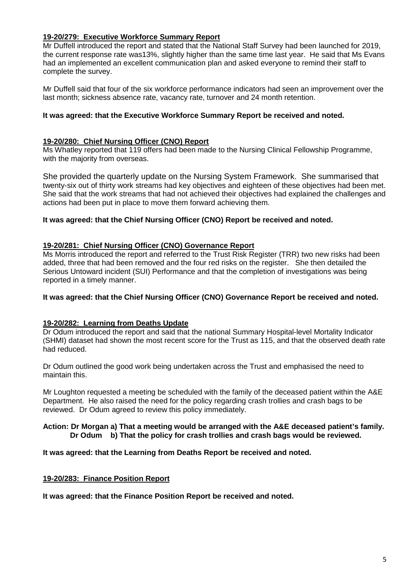#### **19-20/279: Executive Workforce Summary Report**

Mr Duffell introduced the report and stated that the National Staff Survey had been launched for 2019, the current response rate was13%, slightly higher than the same time last year. He said that Ms Evans had an implemented an excellent communication plan and asked everyone to remind their staff to complete the survey.

Mr Duffell said that four of the six workforce performance indicators had seen an improvement over the last month; sickness absence rate, vacancy rate, turnover and 24 month retention.

#### **It was agreed: that the Executive Workforce Summary Report be received and noted.**

#### **19-20/280: Chief Nursing Officer (CNO) Report**

Ms Whatley reported that 119 offers had been made to the Nursing Clinical Fellowship Programme, with the majority from overseas.

She provided the quarterly update on the Nursing System Framework. She summarised that twenty-six out of thirty work streams had key objectives and eighteen of these objectives had been met. She said that the work streams that had not achieved their objectives had explained the challenges and actions had been put in place to move them forward achieving them.

#### **It was agreed: that the Chief Nursing Officer (CNO) Report be received and noted.**

#### **19-20/281: Chief Nursing Officer (CNO) Governance Report**

Ms Morris introduced the report and referred to the Trust Risk Register (TRR) two new risks had been added, three that had been removed and the four red risks on the register. She then detailed the Serious Untoward incident (SUI) Performance and that the completion of investigations was being reported in a timely manner.

#### **It was agreed: that the Chief Nursing Officer (CNO) Governance Report be received and noted.**

#### **19-20/282: Learning from Deaths Update**

Dr Odum introduced the report and said that the national Summary Hospital-level Mortality Indicator (SHMI) dataset had shown the most recent score for the Trust as 115, and that the observed death rate had reduced.

Dr Odum outlined the good work being undertaken across the Trust and emphasised the need to maintain this.

Mr Loughton requested a meeting be scheduled with the family of the deceased patient within the A&E Department. He also raised the need for the policy regarding crash trollies and crash bags to be reviewed. Dr Odum agreed to review this policy immediately.

#### **Action: Dr Morgan a) That a meeting would be arranged with the A&E deceased patient's family. Dr Odum b) That the policy for crash trollies and crash bags would be reviewed.**

**It was agreed: that the Learning from Deaths Report be received and noted.**

#### **19-20/283: Finance Position Report**

**It was agreed: that the Finance Position Report be received and noted.**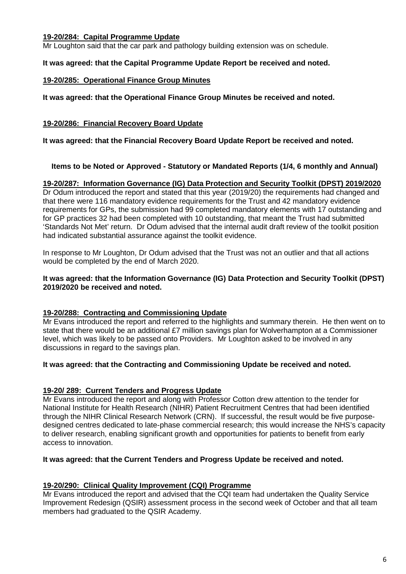#### **19-20/284: Capital Programme Update**

Mr Loughton said that the car park and pathology building extension was on schedule.

#### **It was agreed: that the Capital Programme Update Report be received and noted.**

#### **19-20/285: Operational Finance Group Minutes**

**It was agreed: that the Operational Finance Group Minutes be received and noted.**

#### **19-20/286: Financial Recovery Board Update**

**It was agreed: that the Financial Recovery Board Update Report be received and noted.**

#### **Items to be Noted or Approved - Statutory or Mandated Reports (1/4, 6 monthly and Annual)**

#### **19-20/287: Information Governance (IG) Data Protection and Security Toolkit (DPST) 2019/2020**

Dr Odum introduced the report and stated that this year (2019/20) the requirements had changed and that there were 116 mandatory evidence requirements for the Trust and 42 mandatory evidence requirements for GPs, the submission had 99 completed mandatory elements with 17 outstanding and for GP practices 32 had been completed with 10 outstanding, that meant the Trust had submitted 'Standards Not Met' return. Dr Odum advised that the internal audit draft review of the toolkit position had indicated substantial assurance against the toolkit evidence.

In response to Mr Loughton, Dr Odum advised that the Trust was not an outlier and that all actions would be completed by the end of March 2020.

#### **It was agreed: that the Information Governance (IG) Data Protection and Security Toolkit (DPST) 2019/2020 be received and noted.**

#### **19-20/288: Contracting and Commissioning Update**

Mr Evans introduced the report and referred to the highlights and summary therein. He then went on to state that there would be an additional £7 million savings plan for Wolverhampton at a Commissioner level, which was likely to be passed onto Providers. Mr Loughton asked to be involved in any discussions in regard to the savings plan.

#### **It was agreed: that the Contracting and Commissioning Update be received and noted.**

#### **19-20/ 289: Current Tenders and Progress Update**

Mr Evans introduced the report and along with Professor Cotton drew attention to the tender for National Institute for Health Research (NIHR) Patient Recruitment Centres that had been identified through the NIHR Clinical Research Network (CRN). If successful, the result would be five purposedesigned centres dedicated to late-phase commercial research; this would increase the NHS's capacity to deliver research, enabling significant growth and opportunities for patients to benefit from early access to innovation.

#### **It was agreed: that the Current Tenders and Progress Update be received and noted.**

#### **19-20/290: Clinical Quality Improvement (CQI) Programme**

Mr Evans introduced the report and advised that the CQI team had undertaken the Quality Service Improvement Redesign (QSIR) assessment process in the second week of October and that all team members had graduated to the QSIR Academy.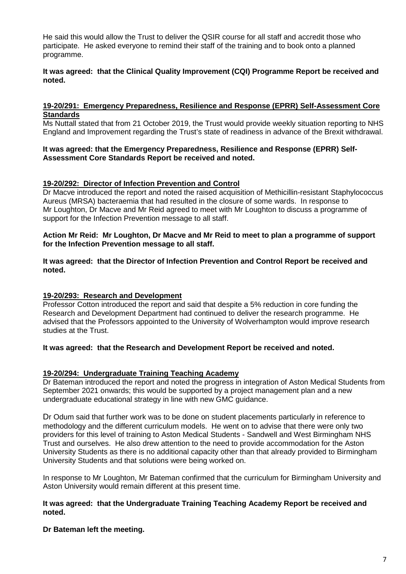He said this would allow the Trust to deliver the QSIR course for all staff and accredit those who participate. He asked everyone to remind their staff of the training and to book onto a planned programme.

#### **It was agreed: that the Clinical Quality Improvement (CQI) Programme Report be received and noted.**

#### **19-20/291: Emergency Preparedness, Resilience and Response (EPRR) Self-Assessment Core Standards**

Ms Nuttall stated that from 21 October 2019, the Trust would provide weekly situation reporting to NHS England and Improvement regarding the Trust's state of readiness in advance of the Brexit withdrawal.

#### **It was agreed: that the Emergency Preparedness, Resilience and Response (EPRR) Self-Assessment Core Standards Report be received and noted.**

#### **19-20/292: Director of Infection Prevention and Control**

Dr Macve introduced the report and noted the raised acquisition of Methicillin-resistant Staphylococcus Aureus (MRSA) bacteraemia that had resulted in the closure of some wards. In response to Mr Loughton, Dr Macve and Mr Reid agreed to meet with Mr Loughton to discuss a programme of support for the Infection Prevention message to all staff.

#### **Action Mr Reid: Mr Loughton, Dr Macve and Mr Reid to meet to plan a programme of support for the Infection Prevention message to all staff.**

#### **It was agreed: that the Director of Infection Prevention and Control Report be received and noted.**

#### **19-20/293: Research and Development**

Professor Cotton introduced the report and said that despite a 5% reduction in core funding the Research and Development Department had continued to deliver the research programme. He advised that the Professors appointed to the University of Wolverhampton would improve research studies at the Trust.

#### **It was agreed: that the Research and Development Report be received and noted.**

#### **19-20/294: Undergraduate Training Teaching Academy**

Dr Bateman introduced the report and noted the progress in integration of Aston Medical Students from September 2021 onwards; this would be supported by a project management plan and a new undergraduate educational strategy in line with new GMC guidance.

Dr Odum said that further work was to be done on student placements particularly in reference to methodology and the different curriculum models. He went on to advise that there were only two providers for this level of training to Aston Medical Students - Sandwell and West Birmingham NHS Trust and ourselves. He also drew attention to the need to provide accommodation for the Aston University Students as there is no additional capacity other than that already provided to Birmingham University Students and that solutions were being worked on.

In response to Mr Loughton, Mr Bateman confirmed that the curriculum for Birmingham University and Aston University would remain different at this present time.

#### **It was agreed: that the Undergraduate Training Teaching Academy Report be received and noted.**

#### **Dr Bateman left the meeting.**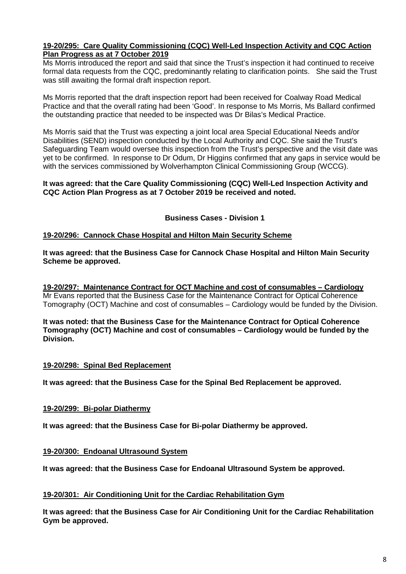#### **19-20/295: Care Quality Commissioning (CQC) Well-Led Inspection Activity and CQC Action Plan Progress as at 7 October 2019**

Ms Morris introduced the report and said that since the Trust's inspection it had continued to receive formal data requests from the CQC, predominantly relating to clarification points. She said the Trust was still awaiting the formal draft inspection report.

Ms Morris reported that the draft inspection report had been received for Coalway Road Medical Practice and that the overall rating had been 'Good'. In response to Ms Morris, Ms Ballard confirmed the outstanding practice that needed to be inspected was Dr Bilas's Medical Practice.

Ms Morris said that the Trust was expecting a joint local area Special Educational Needs and/or Disabilities (SEND) inspection conducted by the Local Authority and CQC. She said the Trust's Safeguarding Team would oversee this inspection from the Trust's perspective and the visit date was yet to be confirmed. In response to Dr Odum, Dr Higgins confirmed that any gaps in service would be with the services commissioned by Wolverhampton Clinical Commissioning Group (WCCG).

#### **It was agreed: that the Care Quality Commissioning (CQC) Well-Led Inspection Activity and CQC Action Plan Progress as at 7 October 2019 be received and noted.**

**Business Cases - Division 1**

#### **19-20/296: Cannock Chase Hospital and Hilton Main Security Scheme**

**It was agreed: that the Business Case for Cannock Chase Hospital and Hilton Main Security Scheme be approved.** 

**19-20/297: Maintenance Contract for OCT Machine and cost of consumables – Cardiology** Mr Evans reported that the Business Case for the Maintenance Contract for Optical Coherence Tomography (OCT) Machine and cost of consumables – Cardiology would be funded by the Division.

**It was noted: that the Business Case for the Maintenance Contract for Optical Coherence Tomography (OCT) Machine and cost of consumables – Cardiology would be funded by the Division.**

#### **19-20/298: Spinal Bed Replacement**

**It was agreed: that the Business Case for the Spinal Bed Replacement be approved.**

#### **19-20/299: Bi-polar Diathermy**

**It was agreed: that the Business Case for Bi-polar Diathermy be approved.**

#### **19-20/300: Endoanal Ultrasound System**

**It was agreed: that the Business Case for Endoanal Ultrasound System be approved.**

#### **19-20/301: Air Conditioning Unit for the Cardiac Rehabilitation Gym**

**It was agreed: that the Business Case for Air Conditioning Unit for the Cardiac Rehabilitation Gym be approved.**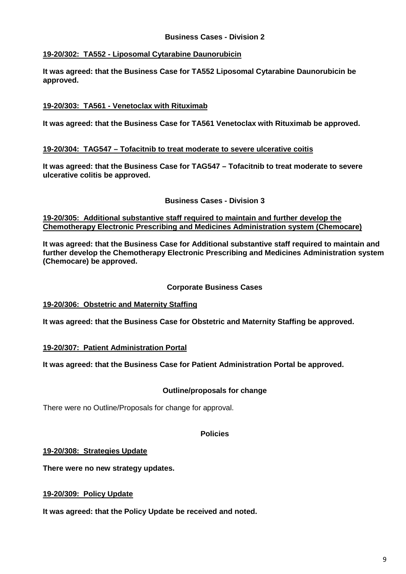#### **Business Cases - Division 2**

#### **19-20/302: TA552 - Liposomal Cytarabine Daunorubicin**

**It was agreed: that the Business Case for TA552 Liposomal Cytarabine Daunorubicin be approved.**

#### **19-20/303: TA561 - Venetoclax with Rituximab**

**It was agreed: that the Business Case for TA561 Venetoclax with Rituximab be approved.**

#### **19-20/304: TAG547 – Tofacitnib to treat moderate to severe ulcerative coitis**

**It was agreed: that the Business Case for TAG547 – Tofacitnib to treat moderate to severe ulcerative colitis be approved.**

#### **Business Cases - Division 3**

**19-20/305: Additional substantive staff required to maintain and further develop the Chemotherapy Electronic Prescribing and Medicines Administration system (Chemocare)**

**It was agreed: that the Business Case for Additional substantive staff required to maintain and further develop the Chemotherapy Electronic Prescribing and Medicines Administration system (Chemocare) be approved.**

#### **Corporate Business Cases**

#### **19-20/306: Obstetric and Maternity Staffing**

**It was agreed: that the Business Case for Obstetric and Maternity Staffing be approved.**

#### **19-20/307: Patient Administration Portal**

**It was agreed: that the Business Case for Patient Administration Portal be approved.**

#### **Outline/proposals for change**

There were no Outline/Proposals for change for approval.

#### **Policies**

#### **19-20/308: Strategies Update**

**There were no new strategy updates.**

#### **19-20/309: Policy Update**

**It was agreed: that the Policy Update be received and noted.**